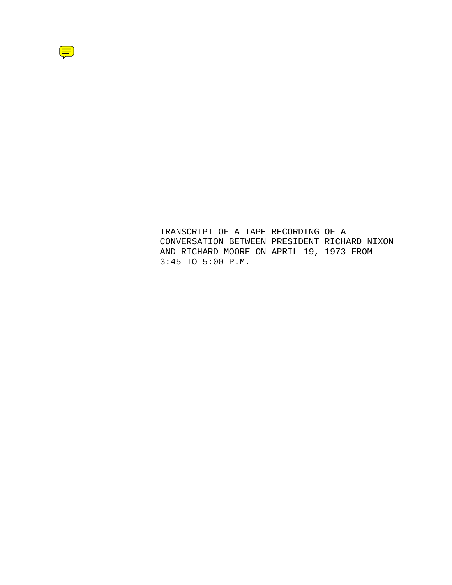

TRANSCRIPT OF A TAPE RECORDING OF A CONVERSATION BETWEEN PRESIDENT RICHARD NIXON AND RICHARD MOORE ON APRIL 19, 1973 FROM 3:45 TO 5:00 P.M.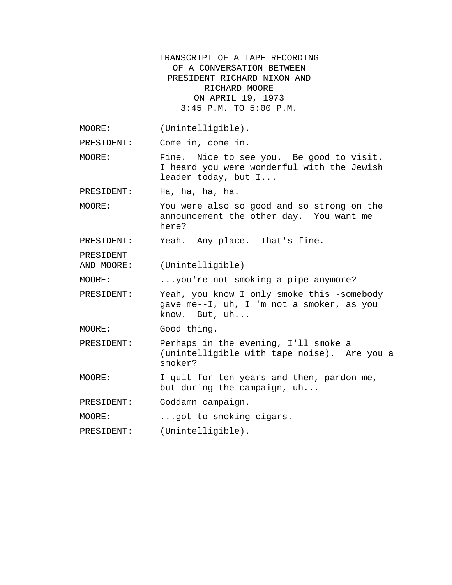TRANSCRIPT OF A TAPE RECORDING OF A CONVERSATION BETWEEN PRESIDENT RICHARD NIXON AND RICHARD MOORE ON APRIL 19, 1973 3:45 P.M. TO 5:00 P.M. MOORE: (Unintelligible). PRESIDENT: Come in, come in. MOORE: Fine. Nice to see you. Be good to visit. I heard you were wonderful with the Jewish leader today, but I... PRESIDENT: Ha, ha, ha, ha. MOORE: You were also so good and so strong on the announcement the other day. You want me here? PRESIDENT: Yeah. Any place. That's fine. PRESIDENT AND MOORE: (Unintelligible) MOORE: ...you're not smoking a pipe anymore? PRESIDENT: Yeah, you know I only smoke this -somebody gave me--I, uh, I 'm not a smoker, as you know. But, uh... MOORE: Good thing. PRESIDENT: Perhaps in the evening, I'll smoke a (unintelligible with tape noise). Are you a smoker? MOORE: I quit for ten years and then, pardon me, but during the campaign, uh... PRESIDENT: Goddamn campaign. MOORE: ...got to smoking cigars. PRESIDENT: (Unintelligible).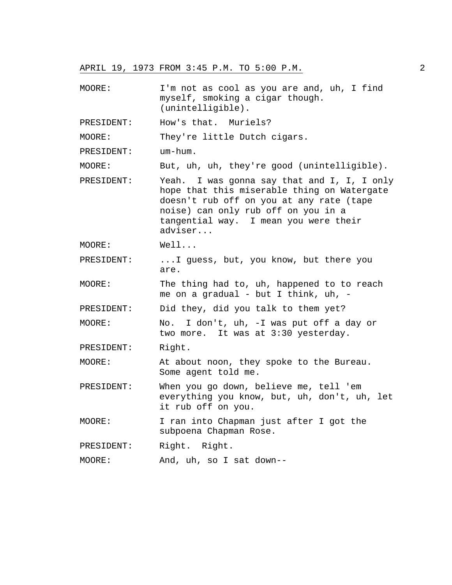MOORE: I'm not as cool as you are and, uh, I find myself, smoking a cigar though. (unintelligible).

PRESIDENT: How's that. Muriels?

MOORE: They're little Dutch cigars.

PRESIDENT: um-hum.

MOORE: But, uh, uh, they're good (unintelligible).

- PRESIDENT: Yeah. I was gonna say that and I, I, I only hope that this miserable thing on Watergate doesn't rub off on you at any rate (tape noise) can only rub off on you in a tangential way. I mean you were their adviser...
- MOORE: Well...
- PRESIDENT: ...I guess, but, you know, but there you are.
- MOORE: The thing had to, uh, happened to to reach me on a gradual - but I think, uh, -

PRESIDENT: Did they, did you talk to them yet?

MOORE: No. I don't, uh, -I was put off a day or two more. It was at 3:30 yesterday.

PRESIDENT: Right.

- MOORE: At about noon, they spoke to the Bureau. Some agent told me.
- PRESIDENT: When you go down, believe me, tell 'em everything you know, but, uh, don't, uh, let it rub off on you.

MOORE: I ran into Chapman just after I got the subpoena Chapman Rose.

PRESIDENT: Right. Right.

MOORE: And, uh, so I sat down--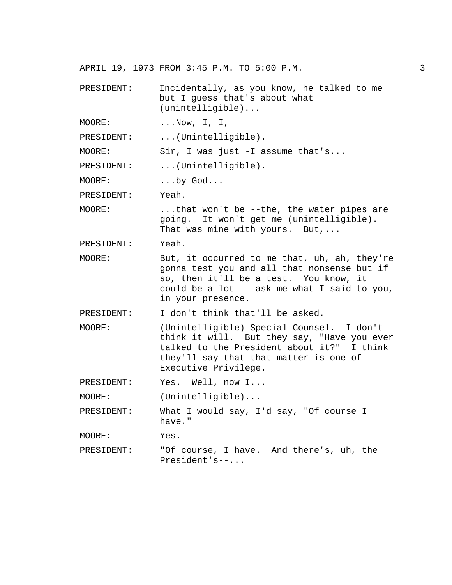- PRESIDENT: Incidentally, as you know, he talked to me but I guess that's about what (unintelligible)...
- MOORE: ... Now, I, I,

PRESIDENT: ... (Unintelligible).

MOORE: Sir, I was just -I assume that's...

PRESIDENT: ... (Unintelligible).

MOORE: ...by God...

PRESIDENT: Yeah.

MOORE: ...that won't be --the, the water pipes are going. It won't get me (unintelligible). That was mine with yours. But,...

PRESIDENT: Yeah.

MOORE: But, it occurred to me that, uh, ah, they're gonna test you and all that nonsense but if so, then it'll be a test. You know, it could be a lot -- ask me what I said to you, in your presence.

PRESIDENT: I don't think that'll be asked.

- MOORE: (Unintelligible) Special Counsel. I don't think it will. But they say, "Have you ever talked to the President about it?" I think they'll say that that matter is one of Executive Privilege.
- PRESIDENT: Yes. Well, now I...

MOORE: (Unintelligible)...

PRESIDENT: What I would say, I'd say, "Of course I have."

MOORE: Yes.

PRESIDENT: "Of course, I have. And there's, uh, the President's--...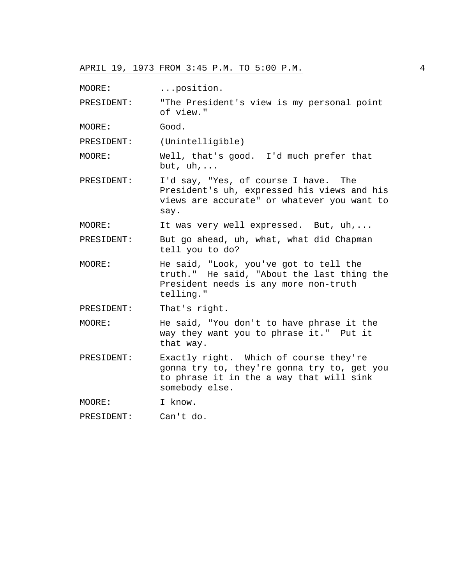MOORE: ...position.

PRESIDENT: "The President's view is my personal point of view."

MOORE: Good.

PRESIDENT: (Unintelligible)

MOORE: Well, that's good. I'd much prefer that but, uh,...

PRESIDENT: I'd say, "Yes, of course I have. The President's uh, expressed his views and his views are accurate" or whatever you want to say.

MOORE: It was very well expressed. But, uh,...

PRESIDENT: But go ahead, uh, what, what did Chapman tell you to do?

MOORE: He said, "Look, you've got to tell the truth." He said, "About the last thing the President needs is any more non-truth telling."

PRESIDENT: That's right.

MOORE: He said, "You don't to have phrase it the way they want you to phrase it." Put it that way.

PRESIDENT: Exactly right. Which of course they're gonna try to, they're gonna try to, get you to phrase it in the a way that will sink somebody else.

MOORE: I know.

PRESIDENT: Can't do.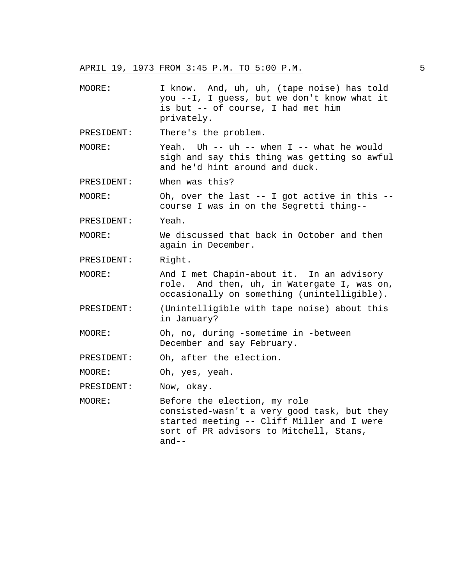- MOORE: I know. And, uh, uh, (tape noise) has told you --I, I guess, but we don't know what it is but -- of course, I had met him privately.
- PRESIDENT: There's the problem.
- MOORE: Yeah. Uh -- uh -- when I -- what he would sigh and say this thing was getting so awful and he'd hint around and duck.
- PRESIDENT: When was this?

MOORE: Oh, over the last -- I got active in this - course I was in on the Segretti thing--

PRESIDENT: Yeah.

MOORE: We discussed that back in October and then again in December.

PRESIDENT: Right.

MOORE: And I met Chapin-about it. In an advisory role. And then, uh, in Watergate I, was on, occasionally on something (unintelligible).

- PRESIDENT: (Unintelligible with tape noise) about this in January?
- MOORE: Oh, no, during -sometime in -between December and say February.

PRESIDENT: Oh, after the election.

MOORE: Oh, yes, yeah.

PRESIDENT: Now, okay.

MOORE: Before the election, my role consisted-wasn't a very good task, but they started meeting -- Cliff Miller and I were sort of PR advisors to Mitchell, Stans, and--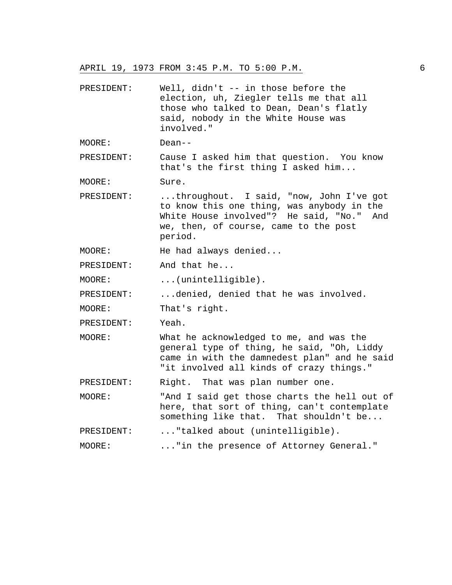PRESIDENT: Well, didn't -- in those before the election, uh, Ziegler tells me that all those who talked to Dean, Dean's flatly said, nobody in the White House was involved."

MOORE: Dean--

PRESIDENT: Cause I asked him that question. You know that's the first thing I asked him...

MOORE: Sure.

PRESIDENT: ...throughout. I said, "now, John I've got to know this one thing, was anybody in the White House involved"? He said, "No." And we, then, of course, came to the post period.

MOORE: He had always denied...

PRESIDENT: And that he...

MOORE: ...(unintelligible).

PRESIDENT: ...denied, denied that he was involved.

MOORE: That's right.

PRESIDENT: Yeah.

MOORE: What he acknowledged to me, and was the general type of thing, he said, "Oh, Liddy came in with the damnedest plan" and he said "it involved all kinds of crazy things."

PRESIDENT: Right. That was plan number one.

MOORE: "And I said get those charts the hell out of here, that sort of thing, can't contemplate something like that. That shouldn't be...

```
PRESIDENT: ... "talked about (unintelligible).
```
MOORE: ..."in the presence of Attorney General."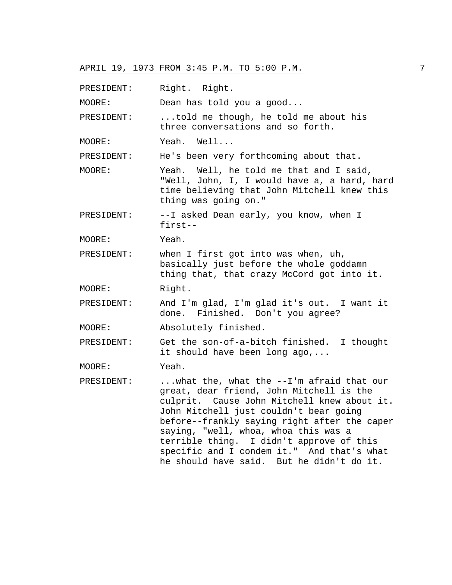PRESIDENT: Right. Right.

MOORE: Dean has told you a good...

PRESIDENT: ...told me though, he told me about his three conversations and so forth.

MOORE: Yeah. Well...

PRESIDENT: He's been very forthcoming about that.

MOORE: Yeah. Well, he told me that and I said, "Well, John, I, I would have a, a hard, hard time believing that John Mitchell knew this thing was going on."

PRESIDENT: --I asked Dean early, you know, when I first--

MOORE: Yeah.

PRESIDENT: when I first got into was when, uh, basically just before the whole goddamn thing that, that crazy McCord got into it.

MOORE: Right.

PRESIDENT: And I'm glad, I'm glad it's out. I want it done. Finished. Don't you agree?

MOORE: Absolutely finished.

PRESIDENT: Get the son-of-a-bitch finished. I thought it should have been long ago,...

MOORE: Yeah.

PRESIDENT: ...what the, what the --I'm afraid that our great, dear friend, John Mitchell is the culprit. Cause John Mitchell knew about it. John Mitchell just couldn't bear going before--frankly saying right after the caper saying, "well, whoa, whoa this was a terrible thing. I didn't approve of this specific and I condem it." And that's what he should have said. But he didn't do it.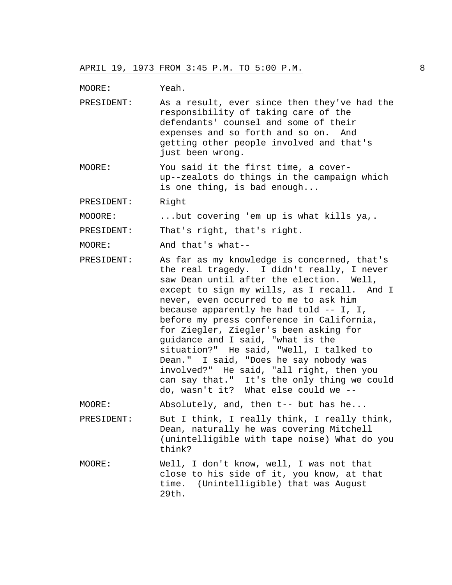MOORE: Yeah.

- PRESIDENT: As a result, ever since then they've had the responsibility of taking care of the defendants' counsel and some of their expenses and so forth and so on. And getting other people involved and that's just been wrong.
- MOORE: You said it the first time, a coverup--zealots do things in the campaign which is one thing, is bad enough...

PRESIDENT: Right

MOOORE: ...but covering 'em up is what kills ya,.

PRESIDENT: That's right, that's right.

MOORE: And that's what--

PRESIDENT: As far as my knowledge is concerned, that's the real tragedy. I didn't really, I never saw Dean until after the election. Well, except to sign my wills, as I recall. And I never, even occurred to me to ask him because apparently he had told -- I, I, before my press conference in California, for Ziegler, Ziegler's been asking for guidance and I said, "what is the situation?" He said, "Well, I talked to Dean." I said, "Does he say nobody was involved?" He said, "all right, then you can say that." It's the only thing we could do, wasn't it? What else could we --

MOORE: Absolutely, and, then t-- but has he...

- PRESIDENT: But I think, I really think, I really think, Dean, naturally he was covering Mitchell (unintelligible with tape noise) What do you think?
- MOORE: Well, I don't know, well, I was not that close to his side of it, you know, at that time. (Unintelligible) that was August 29th.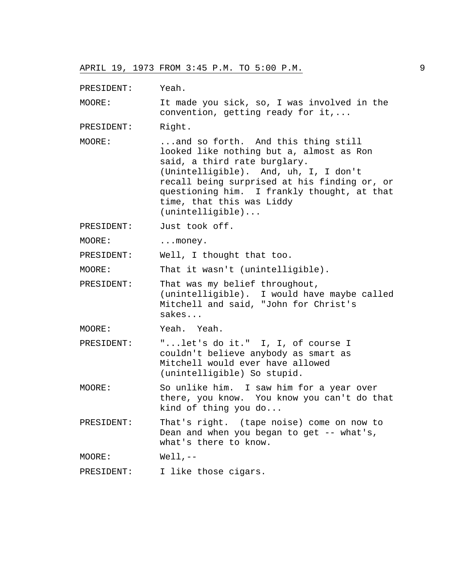PRESIDENT: Yeah.

MOORE: It made you sick, so, I was involved in the convention, getting ready for it,...

PRESIDENT: Right.

MOORE: ...and so forth. And this thing still looked like nothing but a, almost as Ron said, a third rate burglary. (Unintelligible). And, uh, I, I don't recall being surprised at his finding or, or questioning him. I frankly thought, at that time, that this was Liddy (unintelligible)...

PRESIDENT: Just took off.

MOORE: ... money.

PRESIDENT: Well, I thought that too.

MOORE: That it wasn't (unintelligible).

PRESIDENT: That was my belief throughout, (unintelligible). I would have maybe called Mitchell and said, "John for Christ's sakes...

MOORE: Yeah. Yeah.

PRESIDENT: "...let's do it." I, I, of course I couldn't believe anybody as smart as Mitchell would ever have allowed (unintelligible) So stupid.

MOORE: So unlike him. I saw him for a year over there, you know. You know you can't do that kind of thing you do...

PRESIDENT: That's right. (tape noise) come on now to Dean and when you began to get -- what's, what's there to know.

MOORE: Well,--

PRESIDENT: I like those cigars.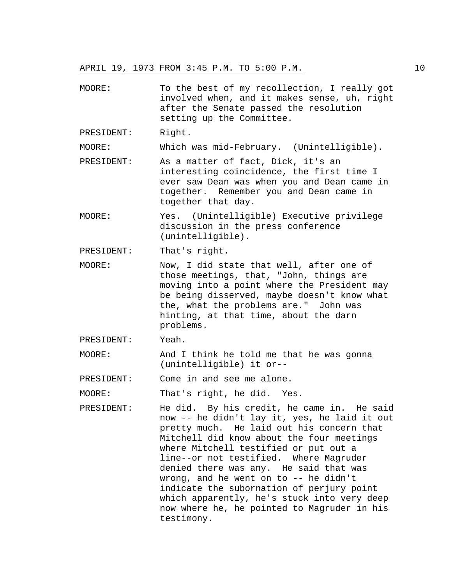MOORE: To the best of my recollection, I really got involved when, and it makes sense, uh, right after the Senate passed the resolution setting up the Committee.

PRESIDENT: Right.

MOORE: Which was mid-February. (Unintelligible).

- PRESIDENT: As a matter of fact, Dick, it's an interesting coincidence, the first time I ever saw Dean was when you and Dean came in together. Remember you and Dean came in together that day.
- MOORE: Yes. (Unintelligible) Executive privilege discussion in the press conference (unintelligible).

PRESIDENT: That's right.

MOORE: Now, I did state that well, after one of those meetings, that, "John, things are moving into a point where the President may be being disserved, maybe doesn't know what the, what the problems are." John was hinting, at that time, about the darn problems.

PRESIDENT: Yeah.

MOORE: And I think he told me that he was gonna (unintelligible) it or--

PRESIDENT: Come in and see me alone.

MOORE: That's right, he did. Yes.

PRESIDENT: He did. By his credit, he came in. He said now -- he didn't lay it, yes, he laid it out pretty much. He laid out his concern that Mitchell did know about the four meetings where Mitchell testified or put out a line--or not testified. Where Magruder denied there was any. He said that was wrong, and he went on to -- he didn't indicate the subornation of perjury point which apparently, he's stuck into very deep now where he, he pointed to Magruder in his testimony.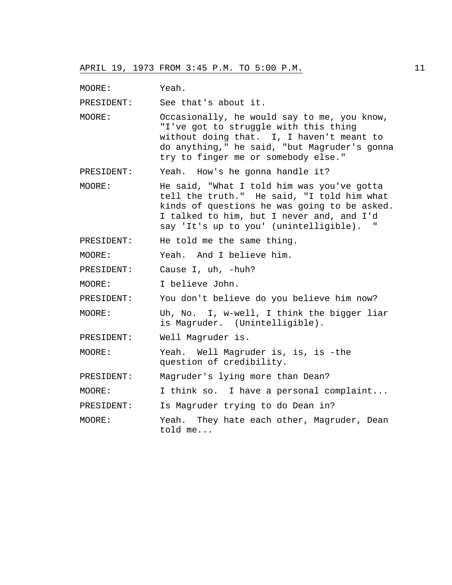MOORE: Yeah.

PRESIDENT: See that's about it.

MOORE: Occasionally, he would say to me, you know, "I've got to struggle with this thing without doing that. I, I haven't meant to do anything," he said, "but Magruder's gonna try to finger me or somebody else."

PRESIDENT: Yeah. How's he gonna handle it?

MOORE: He said, "What I told him was you've gotta tell the truth." He said, "I told him what kinds of questions he was going to be asked. I talked to him, but I never and, and I'd say 'It's up to you' (unintelligible). "

PRESIDENT: He told me the same thing.

MOORE: Yeah. And I believe him.

PRESIDENT: Cause I, uh, -huh?

MOORE: I believe John.

PRESIDENT: You don't believe do you believe him now?

- MOORE: Uh, No. I, w-well, I think the bigger liar is Magruder. (Unintelligible).
- PRESIDENT: Well Magruder is.
- MOORE: Yeah. Well Magruder is, is, is -the question of credibility.

PRESIDENT: Magruder's lying more than Dean?

MOORE: I think so. I have a personal complaint...

PRESIDENT: Is Magruder trying to do Dean in?

MOORE: Yeah. They hate each other, Magruder, Dean told me...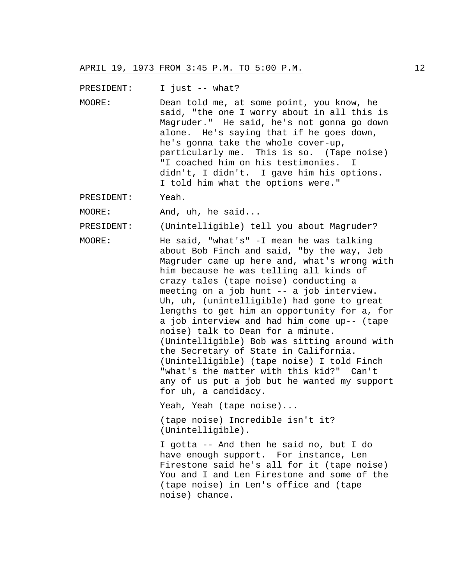PRESIDENT: I just -- what?

MOORE: Dean told me, at some point, you know, he said, "the one I worry about in all this is Magruder." He said, he's not gonna go down alone. He's saying that if he goes down, he's gonna take the whole cover-up, particularly me. This is so. (Tape noise) "I coached him on his testimonies. I didn't, I didn't. I gave him his options. I told him what the options were."

PRESIDENT: Yeah.

MOORE: And, uh, he said...

PRESIDENT: (Unintelligible) tell you about Magruder?

MOORE: He said, "what's" -I mean he was talking about Bob Finch and said, "by the way, Jeb Magruder came up here and, what's wrong with him because he was telling all kinds of crazy tales (tape noise) conducting a meeting on a job hunt -- a job interview. Uh, uh, (unintelligible) had gone to great lengths to get him an opportunity for a, for a job interview and had him come up-- (tape noise) talk to Dean for a minute. (Unintelligible) Bob was sitting around with the Secretary of State in California. (Unintelligible) (tape noise) I told Finch "what's the matter with this kid?" Can't any of us put a job but he wanted my support for uh, a candidacy.

Yeah, Yeah (tape noise)...

(tape noise) Incredible isn't it? (Unintelligible).

I gotta -- And then he said no, but I do have enough support. For instance, Len Firestone said he's all for it (tape noise) You and I and Len Firestone and some of the (tape noise) in Len's office and (tape noise) chance.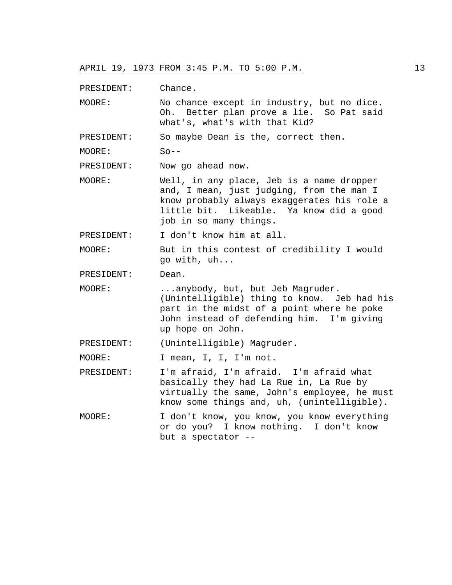PRESIDENT: Chance.

MOORE: No chance except in industry, but no dice. Oh. Better plan prove a lie. So Pat said what's, what's with that Kid?

PRESIDENT: So maybe Dean is the, correct then.

MOORE: So--

PRESIDENT: Now go ahead now.

MOORE: Well, in any place, Jeb is a name dropper and, I mean, just judging, from the man I know probably always exaggerates his role a little bit. Likeable. Ya know did a good job in so many things.

PRESIDENT: I don't know him at all.

MOORE: But in this contest of credibility I would go with, uh...

PRESIDENT: Dean.

MOORE: ...anybody, but, but Jeb Magruder. (Unintelligible) thing to know. Jeb had his part in the midst of a point where he poke John instead of defending him. I'm giving up hope on John.

PRESIDENT: (Unintelligible) Magruder.

MOORE: I mean, I, I, I'm not.

- PRESIDENT: I'm afraid, I'm afraid. I'm afraid what basically they had La Rue in, La Rue by virtually the same, John's employee, he must know some things and, uh, (unintelligible).
- MOORE: I don't know, you know, you know everything or do you? I know nothing. I don't know but a spectator --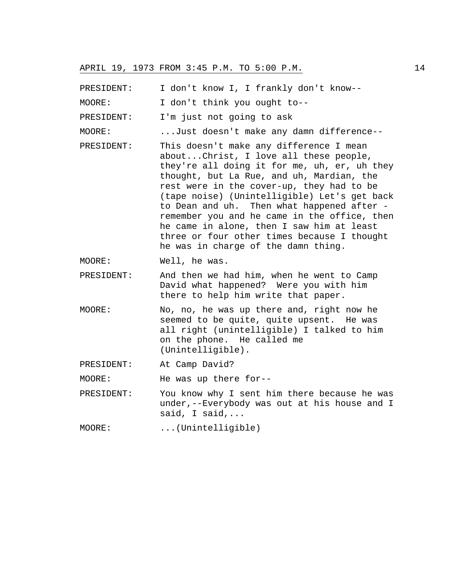PRESIDENT: I don't know I, I frankly don't know--

MOORE: I don't think you ought to--

PRESIDENT: I'm just not going to ask

MOORE: ...Just doesn't make any damn difference--

PRESIDENT: This doesn't make any difference I mean about...Christ, I love all these people, they're all doing it for me, uh, er, uh they thought, but La Rue, and uh, Mardian, the rest were in the cover-up, they had to be (tape noise) (Unintelligible) Let's get back to Dean and uh. Then what happened after remember you and he came in the office, then he came in alone, then I saw him at least three or four other times because I thought he was in charge of the damn thing.

MOORE: Well, he was.

- PRESIDENT: And then we had him, when he went to Camp David what happened? Were you with him there to help him write that paper.
- MOORE: No, no, he was up there and, right now he seemed to be quite, quite upsent. He was all right (unintelligible) I talked to him on the phone. He called me (Unintelligible).
- PRESIDENT: At Camp David?

MOORE: He was up there for--

PRESIDENT: You know why I sent him there because he was under,--Everybody was out at his house and I said, I said,...

MOORE: ...(Unintelligible)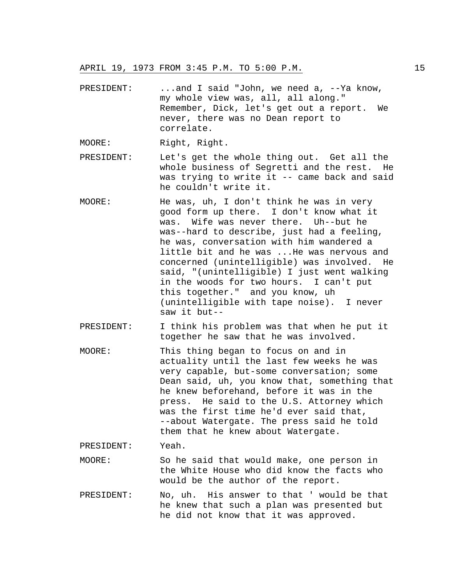PRESIDENT: ...and I said "John, we need a, --Ya know, my whole view was, all, all along." Remember, Dick, let's get out a report. We never, there was no Dean report to correlate.

MOORE: Right, Right.

- PRESIDENT: Let's get the whole thing out. Get all the whole business of Segretti and the rest. He was trying to write it -- came back and said he couldn't write it.
- MOORE: He was, uh, I don't think he was in very good form up there. I don't know what it was. Wife was never there. Uh--but he was--hard to describe, just had a feeling, he was, conversation with him wandered a little bit and he was ...He was nervous and concerned (unintelligible) was involved. He said, "(unintelligible) I just went walking in the woods for two hours. I can't put this together." and you know, uh (unintelligible with tape noise). I never saw it but--
- PRESIDENT: I think his problem was that when he put it together he saw that he was involved.
- MOORE: This thing began to focus on and in actuality until the last few weeks he was very capable, but-some conversation; some Dean said, uh, you know that, something that he knew beforehand, before it was in the press. He said to the U.S. Attorney which was the first time he'd ever said that, --about Watergate. The press said he told them that he knew about Watergate.

PRESIDENT: Yeah.

- MOORE: So he said that would make, one person in the White House who did know the facts who would be the author of the report.
- PRESIDENT: No, uh. His answer to that ' would be that he knew that such a plan was presented but he did not know that it was approved.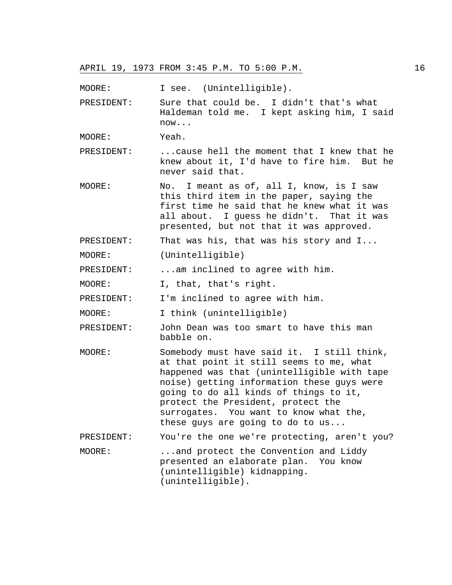MOORE: I see. (Unintelligible).

PRESIDENT: Sure that could be. I didn't that's what Haldeman told me. I kept asking him, I said now...

MOORE: Yeah.

PRESIDENT: ...cause hell the moment that I knew that he knew about it, I'd have to fire him. But he never said that.

MOORE: No. I meant as of, all I, know, is I saw this third item in the paper, saying the first time he said that he knew what it was all about. I guess he didn't. That it was presented, but not that it was approved.

PRESIDENT: That was his, that was his story and I...

MOORE: (Unintelligible)

PRESIDENT: ...am inclined to agree with him.

MOORE: I, that, that's right.

PRESIDENT: I'm inclined to agree with him.

MOORE: I think (unintelligible)

PRESIDENT: John Dean was too smart to have this man babble on.

MOORE: Somebody must have said it. I still think, at that point it still seems to me, what happened was that (unintelligible with tape noise) getting information these guys were going to do all kinds of things to it, protect the President, protect the surrogates. You want to know what the, these guys are going to do to us...

PRESIDENT: You're the one we're protecting, aren't you?

MOORE: ...and protect the Convention and Liddy presented an elaborate plan. You know (unintelligible) kidnapping. (unintelligible).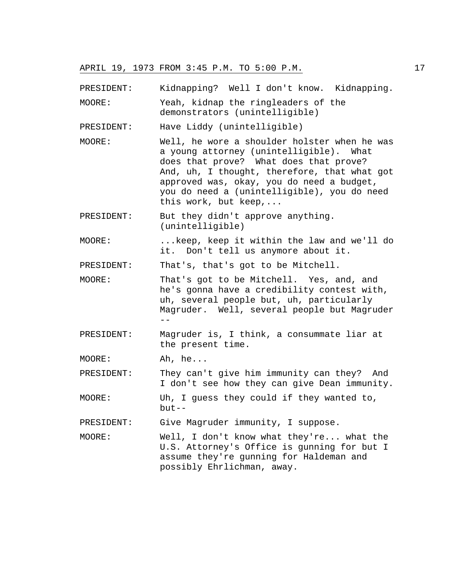PRESIDENT: Kidnapping? Well I don't know. Kidnapping.

MOORE: Yeah, kidnap the ringleaders of the demonstrators (unintelligible)

PRESIDENT: Have Liddy (unintelligible)

MOORE: Well, he wore a shoulder holster when he was a young attorney (unintelligible). What does that prove? What does that prove? And, uh, I thought, therefore, that what got approved was, okay, you do need a budget, you do need a (unintelligible), you do need this work, but keep,...

PRESIDENT: But they didn't approve anything. (unintelligible)

MOORE: ...keep, keep it within the law and we'll do it. Don't tell us anymore about it.

PRESIDENT: That's, that's got to be Mitchell.

- MOORE: That's got to be Mitchell. Yes, and, and he's gonna have a credibility contest with, uh, several people but, uh, particularly Magruder. Well, several people but Magruder --
- PRESIDENT: Magruder is, I think, a consummate liar at the present time.

MOORE: Ah, he...

PRESIDENT: They can't give him immunity can they? And I don't see how they can give Dean immunity.

MOORE: Uh, I guess they could if they wanted to,  $but --$ 

PRESIDENT: Give Magruder immunity, I suppose.

MOORE: Well, I don't know what they're... what the U.S. Attorney's Office is gunning for but I assume they're gunning for Haldeman and possibly Ehrlichman, away.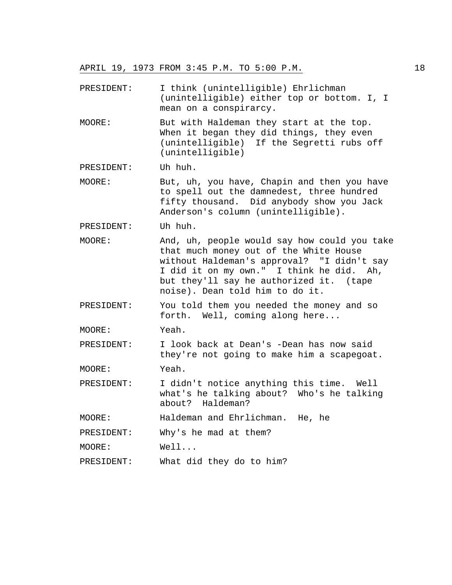PRESIDENT: I think (unintelligible) Ehrlichman (unintelligible) either top or bottom. I, I mean on a conspirarcy.

MOORE: But with Haldeman they start at the top. When it began they did things, they even (unintelligible) If the Segretti rubs off (unintelligible)

PRESIDENT: Uh huh.

MOORE: But, uh, you have, Chapin and then you have to spell out the damnedest, three hundred fifty thousand. Did anybody show you Jack Anderson's column (unintelligible).

PRESIDENT: Uh huh.

- MOORE: And, uh, people would say how could you take that much money out of the White House without Haldeman's approval? "I didn't say I did it on my own." I think he did. Ah, but they'll say he authorized it. (tape noise). Dean told him to do it.
- PRESIDENT: You told them you needed the money and so forth. Well, coming along here...

MOORE: Yeah.

PRESIDENT: I look back at Dean's -Dean has now said they're not going to make him a scapegoat.

MOORE: Yeah.

PRESIDENT: I didn't notice anything this time. Well what's he talking about? Who's he talking about? Haldeman?

MOORE: Haldeman and Ehrlichman. He, he

PRESIDENT: Why's he mad at them?

MOORE: Well...

PRESIDENT: What did they do to him?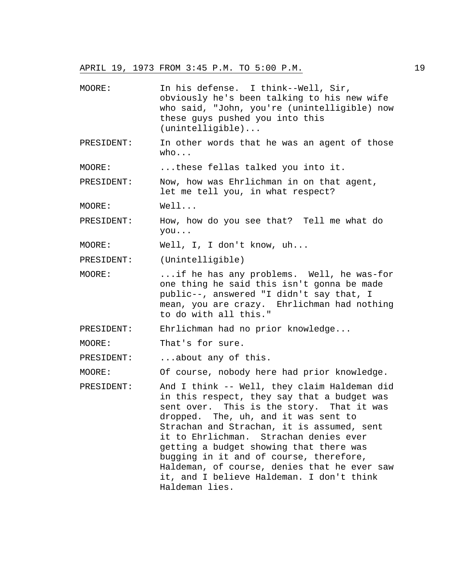MOORE: In his defense. I think--Well, Sir, obviously he's been talking to his new wife who said, "John, you're (unintelligible) now these guys pushed you into this (unintelligible)... PRESIDENT: In other words that he was an agent of those who... MOORE: ...these fellas talked you into it. PRESIDENT: Now, how was Ehrlichman in on that agent, let me tell you, in what respect? MOORE: Well... PRESIDENT: How, how do you see that? Tell me what do you... MOORE: Well, I, I don't know, uh... PRESIDENT: (Unintelligible) MOORE: ...if he has any problems. Well, he was-for one thing he said this isn't gonna be made public--, answered "I didn't say that, I mean, you are crazy. Ehrlichman had nothing to do with all this." PRESIDENT: Ehrlichman had no prior knowledge... MOORE: That's for sure. PRESIDENT: ...about any of this. MOORE: Of course, nobody here had prior knowledge. PRESIDENT: And I think -- Well, they claim Haldeman did in this respect, they say that a budget was sent over. This is the story. That it was dropped. The, uh, and it was sent to Strachan and Strachan, it is assumed, sent it to Ehrlichman. Strachan denies ever getting a budget showing that there was bugging in it and of course, therefore, Haldeman, of course, denies that he ever saw it, and I believe Haldeman. I don't think Haldeman lies.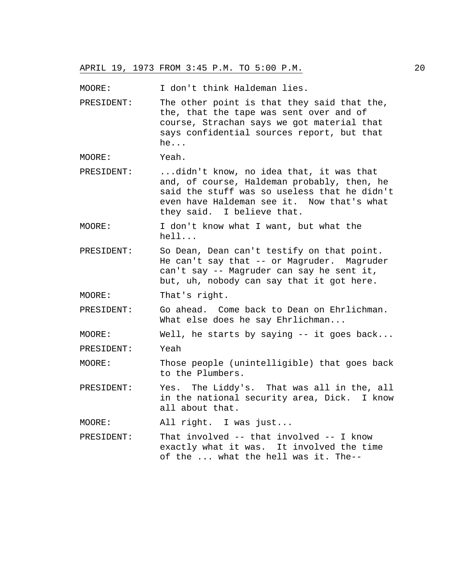MOORE: I don't think Haldeman lies.

PRESIDENT: The other point is that they said that the, the, that the tape was sent over and of course, Strachan says we got material that says confidential sources report, but that he...

MOORE: Yeah.

- PRESIDENT: ...didn't know, no idea that, it was that and, of course, Haldeman probably, then, he said the stuff was so useless that he didn't even have Haldeman see it. Now that's what they said. I believe that.
- MOORE: I don't know what I want, but what the hell...
- PRESIDENT: So Dean, Dean can't testify on that point. He can't say that -- or Magruder. Magruder can't say -- Magruder can say he sent it, but, uh, nobody can say that it got here.

MOORE: That's right.

PRESIDENT: Go ahead. Come back to Dean on Ehrlichman. What else does he say Ehrlichman...

MOORE: Well, he starts by saying -- it goes back...

PRESIDENT: Yeah

MOORE: Those people (unintelligible) that goes back to the Plumbers.

PRESIDENT: Yes. The Liddy's. That was all in the, all in the national security area, Dick. I know all about that.

MOORE: All right. I was just...

PRESIDENT: That involved -- that involved -- I know exactly what it was. It involved the time of the ... what the hell was it. The--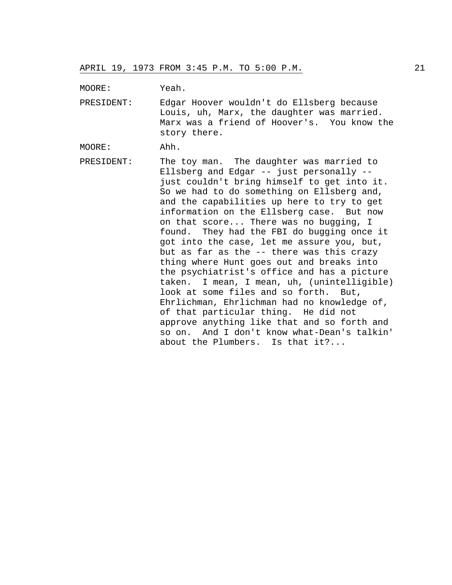MOORE: Yeah.

PRESIDENT: Edgar Hoover wouldn't do Ellsberg because Louis, uh, Marx, the daughter was married. Marx was a friend of Hoover's. You know the story there.

MOORE: Ahh.

PRESIDENT: The toy man. The daughter was married to Ellsberg and Edgar -- just personally - just couldn't bring himself to get into it. So we had to do something on Ellsberg and, and the capabilities up here to try to get information on the Ellsberg case. But now on that score... There was no bugging, I found. They had the FBI do bugging once it got into the case, let me assure you, but, but as far as the -- there was this crazy thing where Hunt goes out and breaks into the psychiatrist's office and has a picture taken. I mean, I mean, uh, (unintelligible) look at some files and so forth. But, Ehrlichman, Ehrlichman had no knowledge of, of that particular thing. He did not approve anything like that and so forth and so on. And I don't know what-Dean's talkin' about the Plumbers. Is that it?...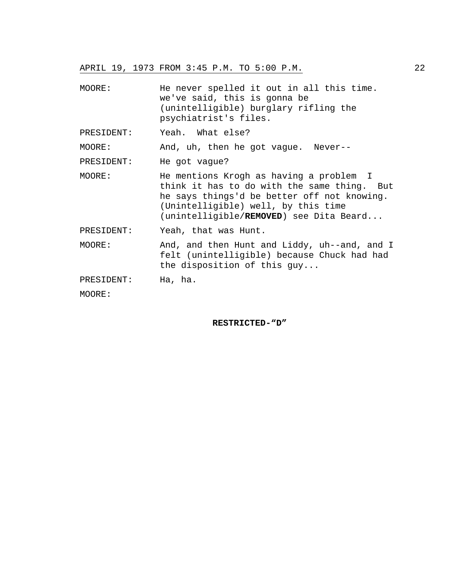| MOORE:     | He never spelled it out in all this time.<br>we've said, this is gonna be<br>(unintelligible) burglary rifling the<br>psychiatrist's files.                                                                             |
|------------|-------------------------------------------------------------------------------------------------------------------------------------------------------------------------------------------------------------------------|
| PRESIDENT: | Yeah. What else?                                                                                                                                                                                                        |
| MOORE:     | And, uh, then he got vague. Never--                                                                                                                                                                                     |
| PRESIDENT: | He got vague?                                                                                                                                                                                                           |
| MOORE:     | He mentions Krogh as having a problem I<br>think it has to do with the same thing. But<br>he says things'd be better off not knowing.<br>(Unintelligible) well, by this time<br>(unintelligible/REMOVED) see Dita Beard |
| PRESIDENT: | Yeah, that was Hunt.                                                                                                                                                                                                    |
| MOORE:     | And, and then Hunt and Liddy, uh--and, and I<br>felt (unintelligible) because Chuck had had<br>the disposition of this $guy$                                                                                            |
| PRESIDENT: | Ha, ha.                                                                                                                                                                                                                 |
| MOORE:     |                                                                                                                                                                                                                         |

# **RESTRICTED-"D"**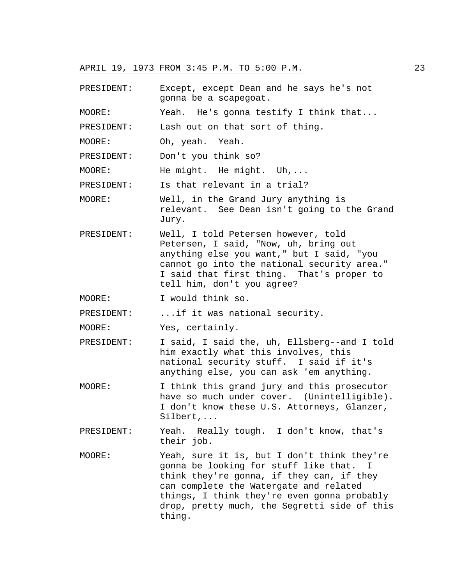PRESIDENT: Except, except Dean and he says he's not gonna be a scapegoat. MOORE: Yeah. He's gonna testify I think that... PRESIDENT: Lash out on that sort of thing. MOORE: Oh, yeah. Yeah. PRESIDENT: Don't you think so? MOORE: He might. He might. Uh,... PRESIDENT: Is that relevant in a trial? MOORE: Well, in the Grand Jury anything is relevant. See Dean isn't going to the Grand Jury. PRESIDENT: Well, I told Petersen however, told Petersen, I said, "Now, uh, bring out anything else you want," but I said, "you cannot go into the national security area." I said that first thing. That's proper to tell him, don't you agree? MOORE: I would think so. PRESIDENT: ...if it was national security. MOORE: Yes, certainly. PRESIDENT: I said, I said the, uh, Ellsberg--and I told him exactly what this involves, this national security stuff. I said if it's anything else, you can ask 'em anything. MOORE: I think this grand jury and this prosecutor have so much under cover. (Unintelligible). I don't know these U.S. Attorneys, Glanzer, Silbert,... PRESIDENT: Yeah. Really tough. I don't know, that's their job. MOORE: Yeah, sure it is, but I don't think they're gonna be looking for stuff like that. I think they're gonna, if they can, if they can complete the Watergate and related things, I think they're even gonna probably drop, pretty much, the Segretti side of this thing.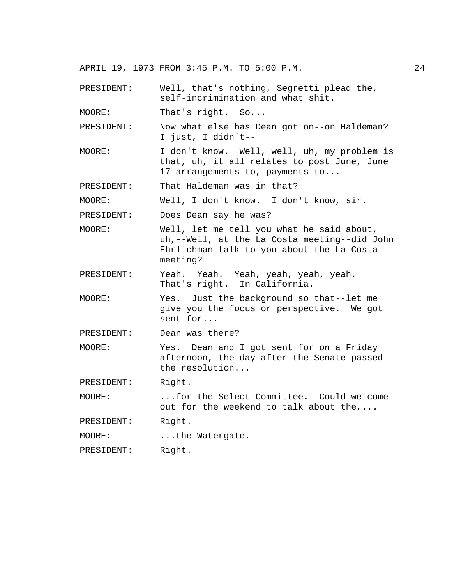PRESIDENT: Well, that's nothing, Segretti plead the, self-incrimination and what shit.

MOORE: That's right. So...

PRESIDENT: Now what else has Dean got on--on Haldeman? I just, I didn't--

MOORE: I don't know. Well, well, uh, my problem is that, uh, it all relates to post June, June 17 arrangements to, payments to...

PRESIDENT: That Haldeman was in that?

MOORE: Well, I don't know. I don't know, sir.

PRESIDENT: Does Dean say he was?

- MOORE: Well, let me tell you what he said about, uh,--Well, at the La Costa meeting--did John Ehrlichman talk to you about the La Costa meeting?
- PRESIDENT: Yeah. Yeah. Yeah, yeah, yeah, yeah. That's right. In California.
- MOORE: Yes. Just the background so that--let me give you the focus or perspective. We got sent for...

PRESIDENT: Dean was there?

MOORE: Yes. Dean and I got sent for on a Friday afternoon, the day after the Senate passed the resolution...

PRESIDENT: Right.

MOORE: ...for the Select Committee. Could we come out for the weekend to talk about the,...

PRESIDENT: Right.

MOORE: ...the Watergate.

PRESIDENT: Right.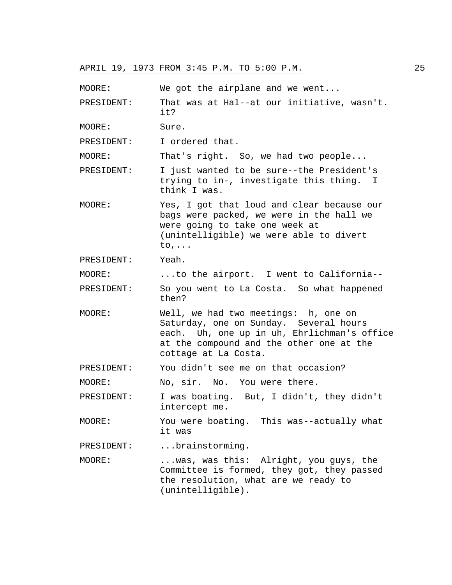| MOORE:     | We got the airplane and we went                                                                                                                                                                   |
|------------|---------------------------------------------------------------------------------------------------------------------------------------------------------------------------------------------------|
| PRESIDENT: | That was at Hal--at our initiative, wasn't.<br>it?                                                                                                                                                |
| MOORE:     | Sure.                                                                                                                                                                                             |
| PRESIDENT: | I ordered that.                                                                                                                                                                                   |
| MOORE:     | That's right. So, we had two people                                                                                                                                                               |
| PRESIDENT: | I just wanted to be sure--the President's<br>trying to in-, investigate this thing. I<br>think I was.                                                                                             |
| MOORE:     | Yes, I got that loud and clear because our<br>bags were packed, we were in the hall we<br>were going to take one week at<br>(unintelligible) we were able to divert<br>$to, \ldots$               |
| PRESIDENT: | Yeah.                                                                                                                                                                                             |
| MOORE:     | to the airport. I went to California--                                                                                                                                                            |
| PRESIDENT: | So you went to La Costa. So what happened<br>then?                                                                                                                                                |
| MOORE:     | Well, we had two meetings: h, one on<br>Saturday, one on Sunday. Several hours<br>each. Uh, one up in uh, Ehrlichman's office<br>at the compound and the other one at the<br>cottage at La Costa. |
| PRESIDENT: | You didn't see me on that occasion?                                                                                                                                                               |
| MOORE:     | No, sir. No. You were there.                                                                                                                                                                      |
| PRESIDENT: | I was boating. But, I didn't, they didn't<br>intercept me.                                                                                                                                        |
| MOORE:     | You were boating. This was--actually what<br>it was                                                                                                                                               |
| PRESIDENT: | brainstorming.                                                                                                                                                                                    |
| MOORE:     | was, was this: Alright, you guys, the<br>Committee is formed, they got, they passed<br>the resolution, what are we ready to<br>(unintelligible).                                                  |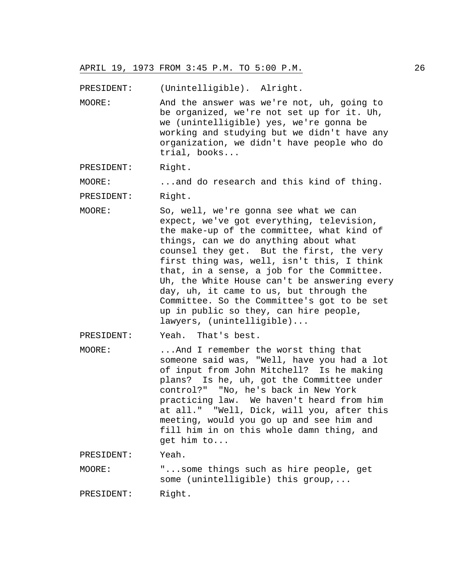PRESIDENT: (Unintelligible). Alright.

MOORE: And the answer was we're not, uh, going to be organized, we're not set up for it. Uh, we (unintelligible) yes, we're gonna be working and studying but we didn't have any organization, we didn't have people who do trial, books...

PRESIDENT: Right.

MOORE: ...and do research and this kind of thing.

PRESIDENT: Right.

MOORE: So, well, we're gonna see what we can expect, we've got everything, television, the make-up of the committee, what kind of things, can we do anything about what counsel they get. But the first, the very first thing was, well, isn't this, I think that, in a sense, a job for the Committee. Uh, the White House can't be answering every day, uh, it came to us, but through the Committee. So the Committee's got to be set up in public so they, can hire people, lawyers, (unintelligible)...

PRESIDENT: Yeah. That's best.

MOORE: ...And I remember the worst thing that someone said was, "Well, have you had a lot of input from John Mitchell? Is he making plans? Is he, uh, got the Committee under control?" "No, he's back in New York practicing law. We haven't heard from him at all." "Well, Dick, will you, after this meeting, would you go up and see him and fill him in on this whole damn thing, and get him to...

PRESIDENT: Yeah.

MOORE: "...some things such as hire people, get some (unintelligible) this group,...

PRESIDENT: Right.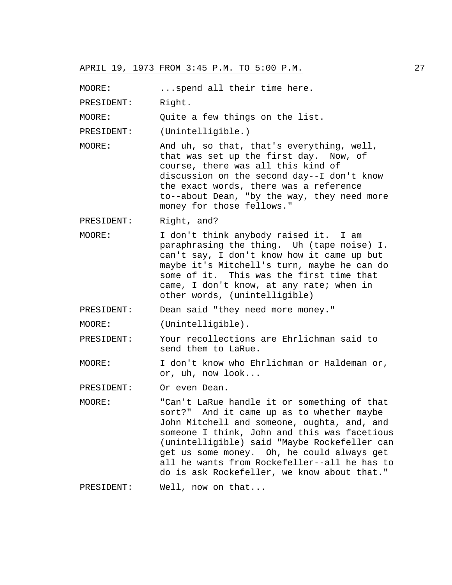MOORE: ... spend all their time here.

PRESIDENT: Right.

MOORE: Quite a few things on the list.

PRESIDENT: (Unintelligible.)

MOORE: And uh, so that, that's everything, well, that was set up the first day. Now, of course, there was all this kind of discussion on the second day--I don't know the exact words, there was a reference to--about Dean, "by the way, they need more money for those fellows."

PRESIDENT: Right, and?

MOORE: I don't think anybody raised it. I am paraphrasing the thing. Uh (tape noise) I. can't say, I don't know how it came up but maybe it's Mitchell's turn, maybe he can do some of it. This was the first time that came, I don't know, at any rate; when in other words, (unintelligible)

PRESIDENT: Dean said "they need more money."

MOORE: (Unintelligible).

PRESIDENT: Your recollections are Ehrlichman said to send them to LaRue.

MOORE: I don't know who Ehrlichman or Haldeman or, or, uh, now look...

PRESIDENT: Or even Dean.

MOORE: "Can't LaRue handle it or something of that sort?" And it came up as to whether maybe John Mitchell and someone, oughta, and, and someone I think, John and this was facetious (unintelligible) said "Maybe Rockefeller can get us some money. Oh, he could always get all he wants from Rockefeller--all he has to do is ask Rockefeller, we know about that."

PRESIDENT: Well, now on that...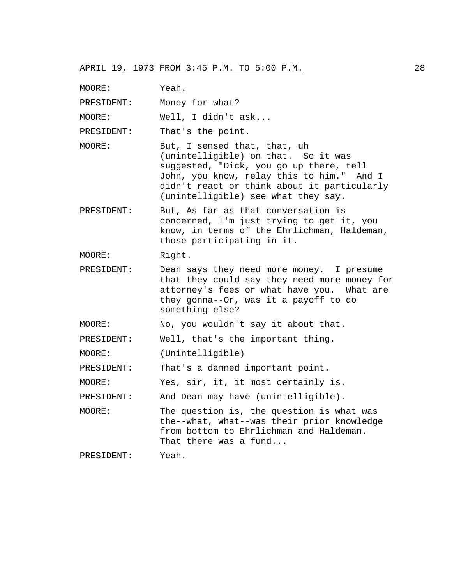MOORE: Yeah.

PRESIDENT: Money for what?

MOORE: Well, I didn't ask...

PRESIDENT: That's the point.

- MOORE: But, I sensed that, that, uh (unintelligible) on that. So it was suggested, "Dick, you go up there, tell John, you know, relay this to him." And I didn't react or think about it particularly (unintelligible) see what they say.
- PRESIDENT: But, As far as that conversation is concerned, I'm just trying to get it, you know, in terms of the Ehrlichman, Haldeman, those participating in it.

MOORE: Right.

PRESIDENT: Dean says they need more money. I presume that they could say they need more money for attorney's fees or what have you. What are they gonna--Or, was it a payoff to do something else?

MOORE: No, you wouldn't say it about that.

PRESIDENT: Well, that's the important thing.

MOORE: (Unintelligible)

PRESIDENT: That's a damned important point.

MOORE: Yes, sir, it, it most certainly is.

PRESIDENT: And Dean may have (unintelligible).

MOORE: The question is, the question is what was the--what, what--was their prior knowledge from bottom to Ehrlichman and Haldeman. That there was a fund...

PRESIDENT: Yeah.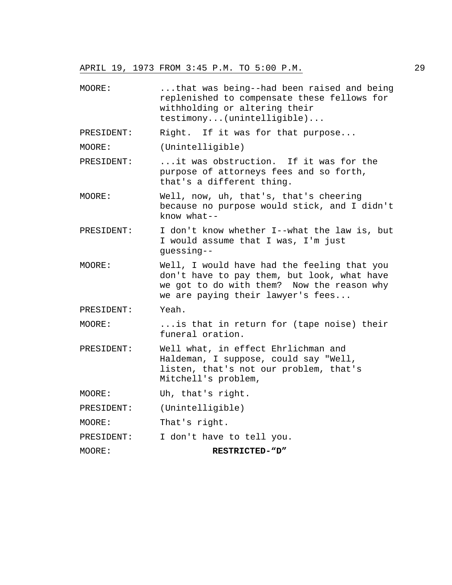MOORE: ...that was being--had been raised and being replenished to compensate these fellows for withholding or altering their testimony...(unintelligible)... PRESIDENT: Right. If it was for that purpose... MOORE: (Unintelligible) PRESIDENT: ...it was obstruction. If it was for the purpose of attorneys fees and so forth, that's a different thing. MOORE: Well, now, uh, that's, that's cheering because no purpose would stick, and I didn't know what-- PRESIDENT: I don't know whether I--what the law is, but I would assume that I was, I'm just guessing-- MOORE: Well, I would have had the feeling that you don't have to pay them, but look, what have we got to do with them? Now the reason why we are paying their lawyer's fees... PRESIDENT: Yeah. MOORE: ...is that in return for (tape noise) their funeral oration. PRESIDENT: Well what, in effect Ehrlichman and Haldeman, I suppose, could say "Well, listen, that's not our problem, that's Mitchell's problem, MOORE: Uh, that's right. PRESIDENT: (Unintelligible) MOORE: That's right. PRESIDENT: I don't have to tell you. MOORE: **RESTRICTED-"D"**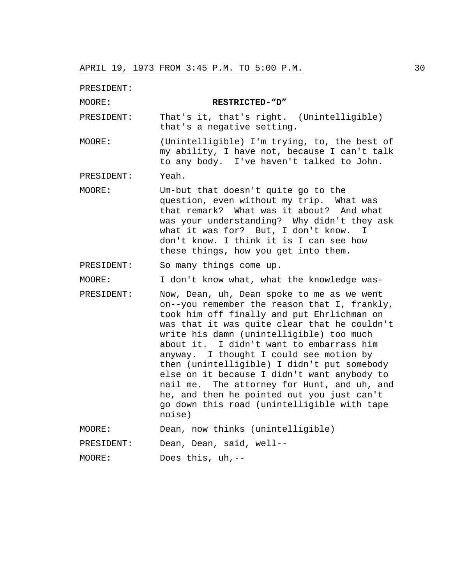PRESIDENT:

MOORE: **RESTRICTED-"D"**

PRESIDENT: That's it, that's right. (Unintelligible) that's a negative setting.

MOORE: (Unintelligible) I'm trying, to, the best of my ability, I have not, because I can't talk to any body. I've haven't talked to John.

PRESIDENT: Yeah.

MOORE: Um-but that doesn't quite go to the question, even without my trip. What was that remark? What was it about? And what was your understanding? Why didn't they ask what it was for? But, I don't know. I don't know. I think it is I can see how these things, how you get into them.

PRESIDENT: So many things come up.

MOORE: I don't know what, what the knowledge was-

PRESIDENT: Now, Dean, uh, Dean spoke to me as we went on--you remember the reason that I, frankly, took him off finally and put Ehrlichman on was that it was quite clear that he couldn't write his damn (unintelligible) too much about it. I didn't want to embarrass him anyway. I thought I could see motion by then (unintelligible) I didn't put somebody else on it because I didn't want anybody to nail me. The attorney for Hunt, and uh, and he, and then he pointed out you just can't go down this road (unintelligible with tape noise)

MOORE: Dean, now thinks (unintelligible)

PRESIDENT: Dean, Dean, said, well--

MOORE: Does this, uh,--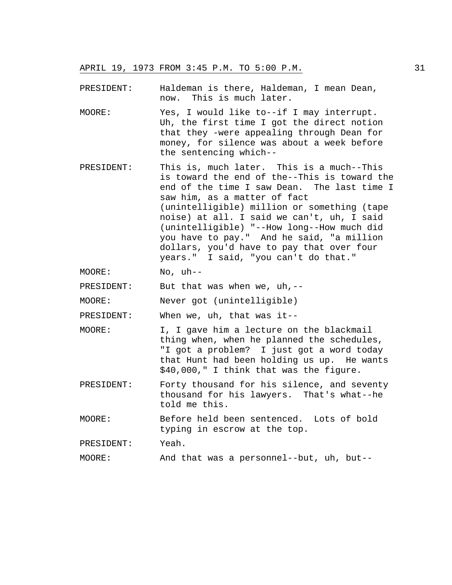PRESIDENT: Haldeman is there, Haldeman, I mean Dean, now. This is much later.

- MOORE: Yes, I would like to--if I may interrupt. Uh, the first time I got the direct notion that they -were appealing through Dean for money, for silence was about a week before the sentencing which--
- PRESIDENT: This is, much later. This is a much--This is toward the end of the--This is toward the end of the time I saw Dean. The last time I saw him, as a matter of fact (unintelligible) million or something (tape noise) at all. I said we can't, uh, I said (unintelligible) "--How long--How much did you have to pay." And he said, "a million dollars, you'd have to pay that over four years." I said, "you can't do that."

MOORE: No, uh--

PRESIDENT: But that was when we, uh,--

MOORE: Never got (unintelligible)

PRESIDENT: When we, uh, that was it--

- MOORE: I, I gave him a lecture on the blackmail thing when, when he planned the schedules, "I got a problem? I just got a word today that Hunt had been holding us up. He wants \$40,000," I think that was the figure.
- PRESIDENT: Forty thousand for his silence, and seventy thousand for his lawyers. That's what--he told me this.

MOORE: Before held been sentenced. Lots of bold typing in escrow at the top.

PRESIDENT: Yeah.

MOORE: And that was a personnel--but, uh, but--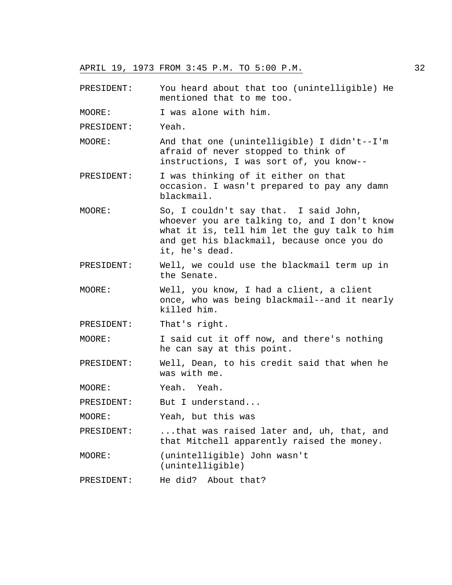PRESIDENT: You heard about that too (unintelligible) He mentioned that to me too.

MOORE: I was alone with him.

PRESIDENT: Yeah.

- MOORE: And that one (unintelligible) I didn't--I'm afraid of never stopped to think of instructions, I was sort of, you know--
- PRESIDENT: I was thinking of it either on that occasion. I wasn't prepared to pay any damn blackmail.
- MOORE: So, I couldn't say that. I said John, whoever you are talking to, and I don't know what it is, tell him let the guy talk to him and get his blackmail, because once you do it, he's dead.
- PRESIDENT: Well, we could use the blackmail term up in the Senate.
- MOORE: Well, you know, I had a client, a client once, who was being blackmail--and it nearly killed him.
- PRESIDENT: That's right.

MOORE: I said cut it off now, and there's nothing he can say at this point.

- PRESIDENT: Well, Dean, to his credit said that when he was with me.
- MOORE: Yeah. Yeah.

PRESIDENT: But I understand...

MOORE: Yeah, but this was

PRESIDENT: ...that was raised later and, uh, that, and that Mitchell apparently raised the money.

MOORE: (unintelligible) John wasn't (unintelligible)

PRESIDENT: He did? About that?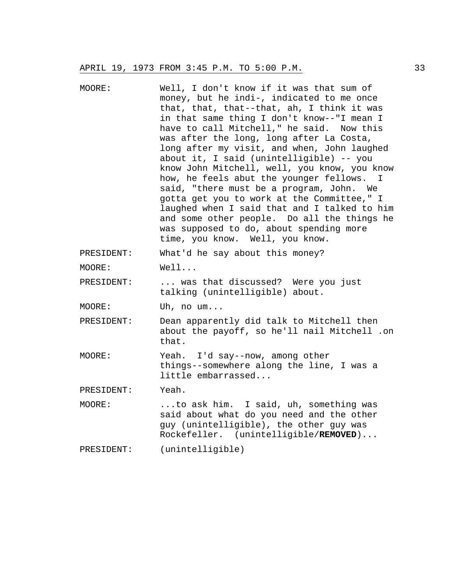MOORE: Well, I don't know if it was that sum of money, but he indi-, indicated to me once that, that, that--that, ah, I think it was in that same thing I don't know--"I mean I have to call Mitchell," he said. Now this was after the long, long after La Costa, long after my visit, and when, John laughed about it, I said (unintelligible) -- you know John Mitchell, well, you know, you know how, he feels abut the younger fellows. I said, "there must be a program, John. We gotta get you to work at the Committee," I laughed when I said that and I talked to him and some other people. Do all the things he was supposed to do, about spending more time, you know. Well, you know. PRESIDENT: What'd he say about this money? MOORE: Well... PRESIDENT: ... was that discussed? Were you just talking (unintelligible) about. MOORE: Uh, no um... PRESIDENT: Dean apparently did talk to Mitchell then about the payoff, so he'll nail Mitchell .on that. MOORE: Yeah. I'd say--now, among other things--somewhere along the line, I was a little embarrassed... PRESIDENT: Yeah. MOORE: ...to ask him. I said, uh, something was said about what do you need and the other guy (unintelligible), the other guy was Rockefeller. (unintelligible/**REMOVED**)... PRESIDENT: (unintelligible)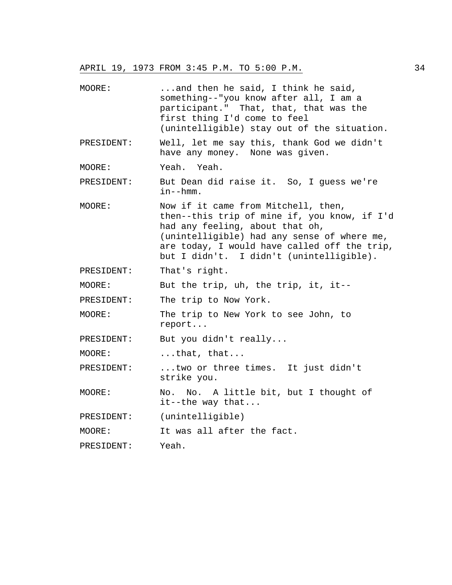MOORE: ...and then he said, I think he said, something--"you know after all, I am a participant." That, that, that was the first thing I'd come to feel (unintelligible) stay out of the situation. PRESIDENT: Well, let me say this, thank God we didn't have any money. None was given. MOORE: Yeah. Yeah. PRESIDENT: But Dean did raise it. So, I guess we're in--hmm. MOORE: Now if it came from Mitchell, then, then--this trip of mine if, you know, if I'd had any feeling, about that oh, (unintelligible) had any sense of where me, are today, I would have called off the trip, but I didn't. I didn't (unintelligible). PRESIDENT: That's right. MOORE: But the trip, uh, the trip, it, it-- PRESIDENT: The trip to Now York. MOORE: The trip to New York to see John, to report... PRESIDENT: But you didn't really... MOORE: ...that, that... PRESIDENT: ...two or three times. It just didn't strike you. MOORE: No. No. A little bit, but I thought of it--the way that... PRESIDENT: (unintelligible) MOORE: It was all after the fact. PRESIDENT: Yeah.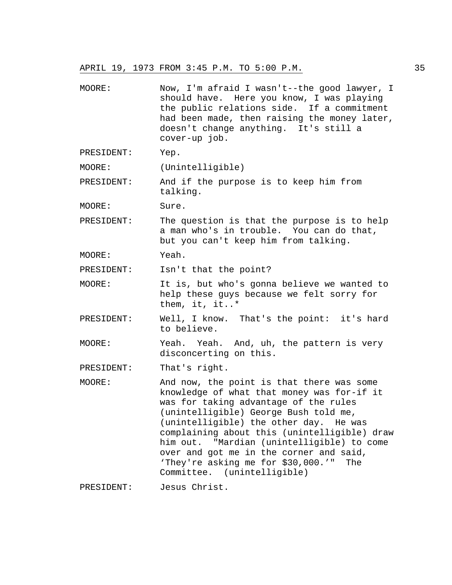MOORE: Now, I'm afraid I wasn't--the good lawyer, I should have. Here you know, I was playing the public relations side. If a commitment had been made, then raising the money later, doesn't change anything. It's still a cover-up job. PRESIDENT: Yep. MOORE: (Unintelligible) PRESIDENT: And if the purpose is to keep him from talking. MOORE: Sure. PRESIDENT: The question is that the purpose is to help a man who's in trouble. You can do that, but you can't keep him from talking. MOORE: Yeah. PRESIDENT: Isn't that the point? MOORE: It is, but who's gonna believe we wanted to help these guys because we felt sorry for them, it, it..\* PRESIDENT: Well, I know. That's the point: it's hard to believe. MOORE: Yeah. Yeah. And, uh, the pattern is very disconcerting on this. PRESIDENT: That's right. MOORE: And now, the point is that there was some knowledge of what that money was for-if it was for taking advantage of the rules (unintelligible) George Bush told me, (unintelligible) the other day. He was complaining about this (unintelligible) draw him out. "Mardian (unintelligible) to come over and got me in the corner and said, 'They're asking me for \$30,000.'" The Committee. (unintelligible) PRESIDENT: Jesus Christ.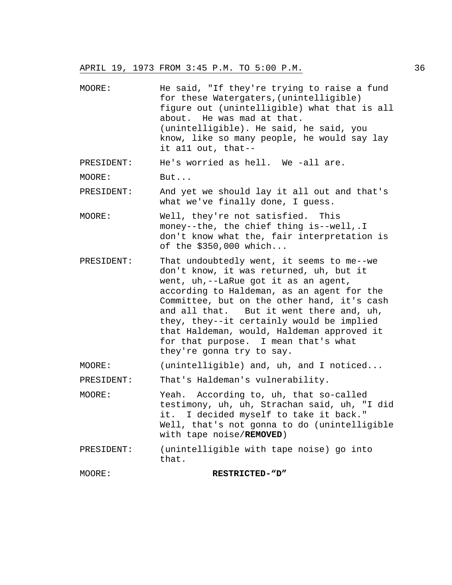- MOORE: He said, "If they're trying to raise a fund for these Watergaters,(unintelligible) figure out (unintelligible) what that is all about. He was mad at that. (unintelligible). He said, he said, you know, like so many people, he would say lay it a11 out, that--
- PRESIDENT: He's worried as hell. We -all are.
- MOORE: But...

PRESIDENT: And yet we should lay it all out and that's what we've finally done, I guess.

- MOORE: Well, they're not satisfied. This money--the, the chief thing is--well,.I don't know what the, fair interpretation is of the \$350,000 which...
- PRESIDENT: That undoubtedly went, it seems to me--we don't know, it was returned, uh, but it went, uh,--LaRue got it as an agent, according to Haldeman, as an agent for the Committee, but on the other hand, it's cash and all that. But it went there and, uh, they, they--it certainly would be implied that Haldeman, would, Haldeman approved it for that purpose. I mean that's what they're gonna try to say.
- MOORE: (unintelligible) and, uh, and I noticed...
- PRESIDENT: That's Haldeman's vulnerability.
- MOORE: Yeah. According to, uh, that so-called testimony, uh, uh, Strachan said, uh, "I did it. I decided myself to take it back." Well, that's not gonna to do (unintelligible with tape noise/**REMOVED**)
- PRESIDENT: (unintelligible with tape noise) go into that.

MOORE: **RESTRICTED-"D"**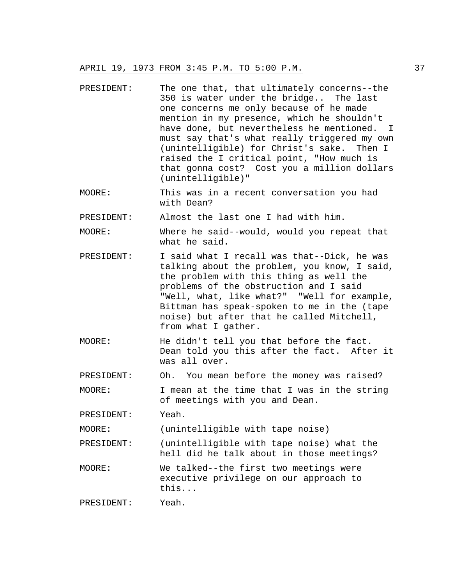- PRESIDENT: The one that, that ultimately concerns--the 350 is water under the bridge.. The last one concerns me only because of he made mention in my presence, which he shouldn't have done, but nevertheless he mentioned. I must say that's what really triggered my own (unintelligible) for Christ's sake. Then I raised the I critical point, "How much is that gonna cost? Cost you a million dollars (unintelligible)"
- MOORE: This was in a recent conversation you had with Dean?

PRESIDENT: Almost the last one I had with him.

MOORE: Where he said--would, would you repeat that what he said.

- PRESIDENT: I said what I recall was that--Dick, he was talking about the problem, you know, I said, the problem with this thing as well the problems of the obstruction and I said "Well, what, like what?" "Well for example, Bittman has speak-spoken to me in the (tape noise) but after that he called Mitchell, from what I gather.
- MOORE: He didn't tell you that before the fact. Dean told you this after the fact. After it was all over.

PRESIDENT: Oh. You mean before the money was raised?

MOORE: I mean at the time that I was in the string of meetings with you and Dean.

PRESIDENT: Yeah.

MOORE: (unintelligible with tape noise)

PRESIDENT: (unintelligible with tape noise) what the hell did he talk about in those meetings?

MOORE: We talked--the first two meetings were executive privilege on our approach to this...

PRESIDENT: Yeah.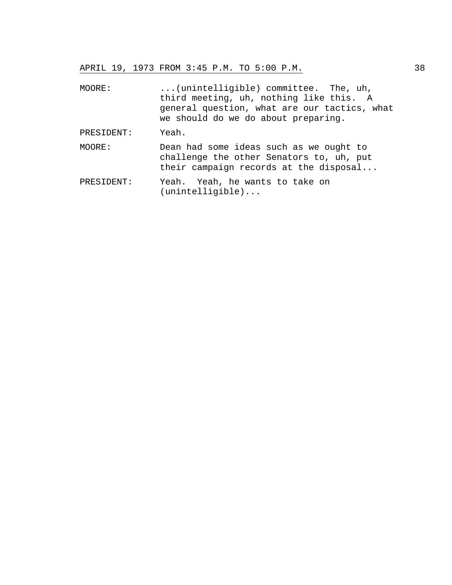| MOORE:     | (unintelligible) committee. The, uh,<br>third meeting, uh, nothing like this. A<br>general question, what are our tactics, what<br>we should do we do about preparing. |
|------------|------------------------------------------------------------------------------------------------------------------------------------------------------------------------|
| PRESIDENT: | Yeah.                                                                                                                                                                  |
| MOORE:     | Dean had some ideas such as we ought to<br>challenge the other Senators to, uh, put<br>their campaign records at the disposal                                          |
| PRESIDENT: | Yeah. Yeah, he wants to take on                                                                                                                                        |

(unintelligible)...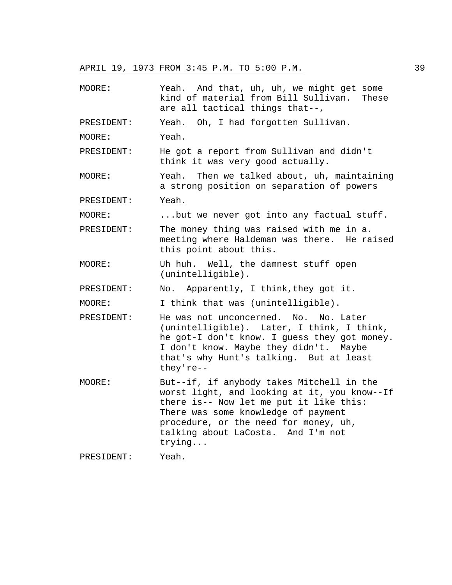MOORE: Yeah. And that, uh, uh, we might get some kind of material from Bill Sullivan. These are all tactical things that--, PRESIDENT: Yeah. Oh, I had forgotten Sullivan. MOORE: Yeah. PRESIDENT: He got a report from Sullivan and didn't think it was very good actually. MOORE: Yeah. Then we talked about, uh, maintaining a strong position on separation of powers PRESIDENT: Yeah. MOORE: ...but we never got into any factual stuff. PRESIDENT: The money thing was raised with me in a. meeting where Haldeman was there. He raised this point about this. MOORE: Uh huh. Well, the damnest stuff open (unintelligible). PRESIDENT: No. Apparently, I think, they got it. MOORE: I think that was (unintelligible). PRESIDENT: He was not unconcerned. No. No. Later (unintelligible). Later, I think, I think, he got-I don't know. I guess they got money. I don't know. Maybe they didn't. Maybe that's why Hunt's talking. But at least they're-- MOORE: But--if, if anybody takes Mitchell in the worst light, and looking at it, you know--If there is-- Now let me put it like this: There was some knowledge of payment procedure, or the need for money, uh, talking about LaCosta. And I'm not trying... PRESIDENT: Yeah.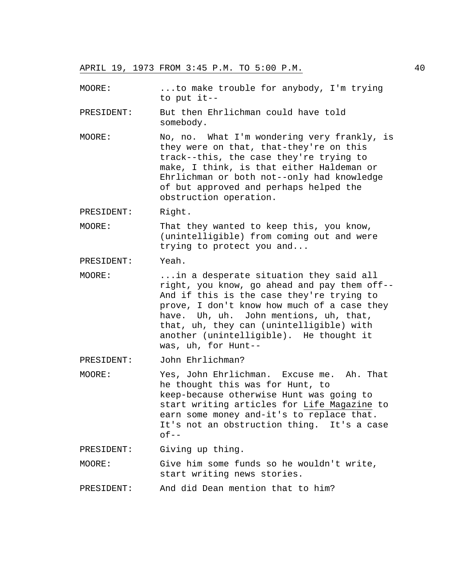MOORE: ...to make trouble for anybody, I'm trying to put it--

PRESIDENT: But then Ehrlichman could have told somebody.

MOORE: No, no. What I'm wondering very frankly, is they were on that, that-they're on this track--this, the case they're trying to make, I think, is that either Haldeman or Ehrlichman or both not--only had knowledge of but approved and perhaps helped the obstruction operation.

PRESIDENT: Right.

MOORE: That they wanted to keep this, you know, (unintelligible) from coming out and were trying to protect you and...

PRESIDENT: Yeah.

MOORE: ...in a desperate situation they said all right, you know, go ahead and pay them off-- And if this is the case they're trying to prove, I don't know how much of a case they have. Uh, uh. John mentions, uh, that, that, uh, they can (unintelligible) with another (unintelligible). He thought it was, uh, for Hunt--

PRESIDENT: John Ehrlichman?

MOORE: Yes, John Ehrlichman. Excuse me. Ah. That he thought this was for Hunt, to keep-because otherwise Hunt was going to start writing articles for Life Magazine to earn some money and-it's to replace that. It's not an obstruction thing. It's a case  $of--$ 

PRESIDENT: Giving up thing.

MOORE: Give him some funds so he wouldn't write, start writing news stories.

PRESIDENT: And did Dean mention that to him?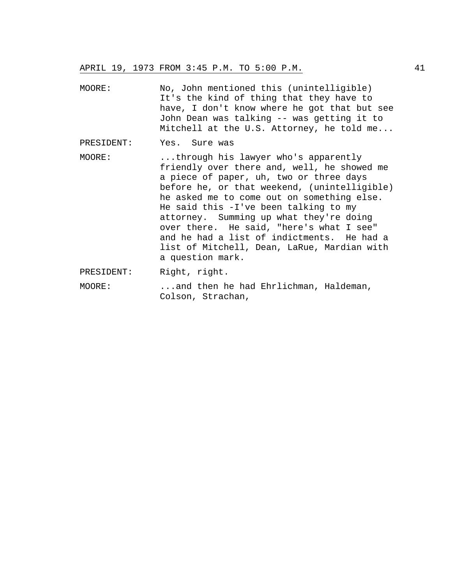- MOORE: No, John mentioned this (unintelligible) It's the kind of thing that they have to have, I don't know where he got that but see John Dean was talking -- was getting it to Mitchell at the U.S. Attorney, he told me...
- PRESIDENT: Yes. Sure was
- MOORE: ...through his lawyer who's apparently friendly over there and, well, he showed me a piece of paper, uh, two or three days before he, or that weekend, (unintelligible) he asked me to come out on something else. He said this -I've been talking to my attorney. Summing up what they're doing over there. He said, "here's what I see" and he had a list of indictments. He had a list of Mitchell, Dean, LaRue, Mardian with a question mark.
- PRESIDENT: Right, right.
- MOORE: ...and then he had Ehrlichman, Haldeman, Colson, Strachan,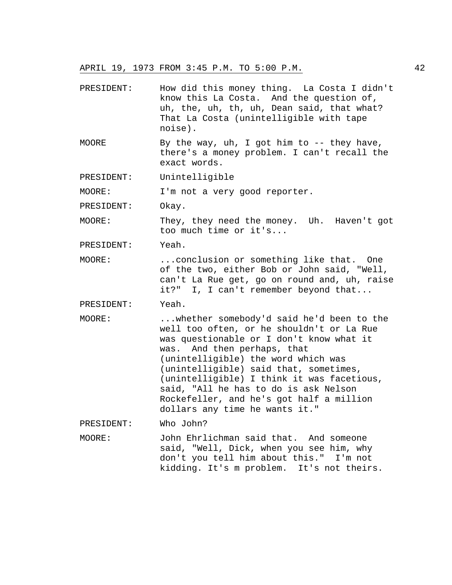- PRESIDENT: How did this money thing. La Costa I didn't know this La Costa. And the question of, uh, the, uh, th, uh, Dean said, that what? That La Costa (unintelligible with tape noise).
- MOORE By the way, uh, I got him to  $-$  they have, there's a money problem. I can't recall the exact words.
- PRESIDENT: Unintelligible

MOORE: I'm not a very good reporter.

PRESIDENT: Okay.

MOORE: They, they need the money. Uh. Haven't got too much time or it's...

PRESIDENT: Yeah.

MOORE: ...conclusion or something like that. One of the two, either Bob or John said, "Well, can't La Rue get, go on round and, uh, raise it?" I, I can't remember beyond that...

PRESIDENT: Yeah.

MOORE: ...whether somebody'd said he'd been to the well too often, or he shouldn't or La Rue was questionable or I don't know what it was. And then perhaps, that (unintelligible) the word which was (unintelligible) said that, sometimes, (unintelligible) I think it was facetious, said, "All he has to do is ask Nelson Rockefeller, and he's got half a million dollars any time he wants it."

PRESIDENT: Who John?

MOORE: John Ehrlichman said that. And someone said, "Well, Dick, when you see him, why don't you tell him about this." I'm not kidding. It's m problem. It's not theirs.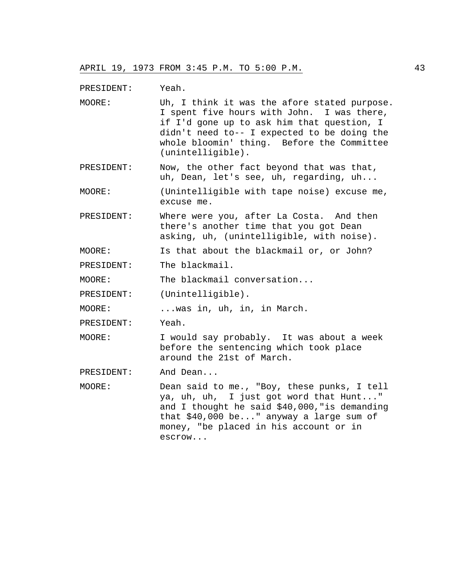PRESIDENT: Yeah.

- MOORE: Uh, I think it was the afore stated purpose. I spent five hours with John. I was there, if I'd gone up to ask him that question, I didn't need to-- I expected to be doing the whole bloomin' thing. Before the Committee (unintelligible).
- PRESIDENT: Now, the other fact beyond that was that, uh, Dean, let's see, uh, regarding, uh...
- MOORE: (Unintelligible with tape noise) excuse me, excuse me.
- PRESIDENT: Where were you, after La Costa. And then there's another time that you got Dean asking, uh, (unintelligible, with noise).

MOORE: Is that about the blackmail or, or John?

PRESIDENT: The blackmail.

MOORE: The blackmail conversation...

PRESIDENT: (Unintelligible).

MOORE: ...was in, uh, in, in March.

PRESIDENT: Yeah.

- MOORE: I would say probably. It was about a week before the sentencing which took place around the 21st of March.
- PRESIDENT: And Dean...
- MOORE: Dean said to me., "Boy, these punks, I tell ya, uh, uh, I just got word that Hunt..." and I thought he said \$40,000,"is demanding that \$40,000 be..." anyway a large sum of money, "be placed in his account or in escrow...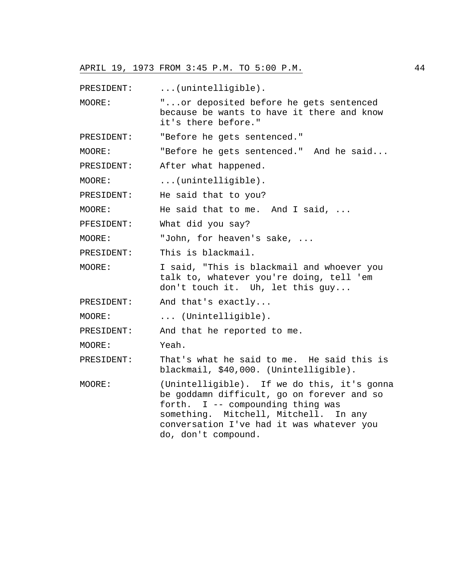PRESIDENT: ... (unintelligible).

MOORE: "...or deposited before he gets sentenced because be wants to have it there and know it's there before."

PRESIDENT: "Before he gets sentenced."

MOORE: "Before he gets sentenced." And he said...

PRESIDENT: After what happened.

MOORE: ...(unintelligible).

PRESIDENT: He said that to you?

MOORE: He said that to me. And I said, ...

PFESIDENT: What did you say?

MOORE: "John, for heaven's sake, ...

PRESIDENT: This is blackmail.

MOORE: I said, "This is blackmail and whoever you talk to, whatever you're doing, tell 'em don't touch it. Uh, let this guy...

PRESIDENT: And that's exactly...

MOORE: ... (Unintelligible).

PRESIDENT: And that he reported to me.

MOORE: Yeah.

PRESIDENT: That's what he said to me. He said this is blackmail, \$40,000. (Unintelligible).

MOORE: (Unintelligible). If we do this, it's gonna be goddamn difficult, go on forever and so forth. I -- compounding thing was something. Mitchell, Mitchell. In any conversation I've had it was whatever you do, don't compound.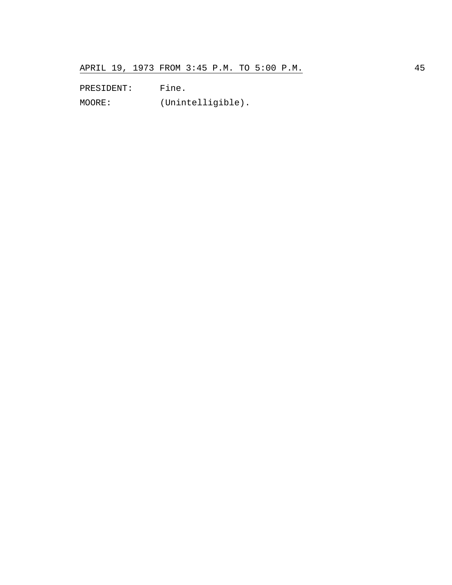PRESIDENT: Fine.

MOORE: (Unintelligible).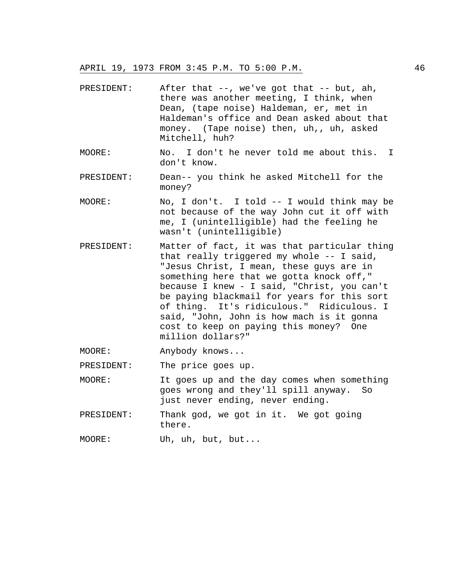| PRESIDENT: | After that $--$ , we've got that $--$ but, ah,<br>there was another meeting, I think, when<br>Dean, (tape noise) Haldeman, er, met in<br>Haldeman's office and Dean asked about that<br>money. (Tape noise) then, uh,, uh, asked<br>Mitchell, huh?                                                                                                                                                                                       |
|------------|------------------------------------------------------------------------------------------------------------------------------------------------------------------------------------------------------------------------------------------------------------------------------------------------------------------------------------------------------------------------------------------------------------------------------------------|
| MOORE:     | No. I don't he never told me about this.<br>$\mathbf{I}$<br>don't know.                                                                                                                                                                                                                                                                                                                                                                  |
| PRESIDENT: | Dean-- you think he asked Mitchell for the<br>money?                                                                                                                                                                                                                                                                                                                                                                                     |
| MOORE:     | No, I don't. I told -- I would think may be<br>not because of the way John cut it off with<br>me, I (unintelligible) had the feeling he<br>wasn't (unintelligible)                                                                                                                                                                                                                                                                       |
| PRESIDENT: | Matter of fact, it was that particular thing<br>that really triggered my whole -- I said,<br>"Jesus Christ, I mean, these guys are in<br>something here that we gotta knock off,"<br>because I knew - I said, "Christ, you can't<br>be paying blackmail for years for this sort<br>of thing. It's ridiculous." Ridiculous. I<br>said, "John, John is how mach is it gonna<br>cost to keep on paying this money? One<br>million dollars?" |
| MOORE:     | Anybody knows                                                                                                                                                                                                                                                                                                                                                                                                                            |
| PRESIDENT: | The price goes up.                                                                                                                                                                                                                                                                                                                                                                                                                       |
| MOORE:     | It goes up and the day comes when something<br>goes wrong and they'll spill anyway. So<br>just never ending, never ending.                                                                                                                                                                                                                                                                                                               |
| PRESIDENT: | Thank god, we got in it. We got going<br>there.                                                                                                                                                                                                                                                                                                                                                                                          |
| MOORE:     | Uh, uh, but, but                                                                                                                                                                                                                                                                                                                                                                                                                         |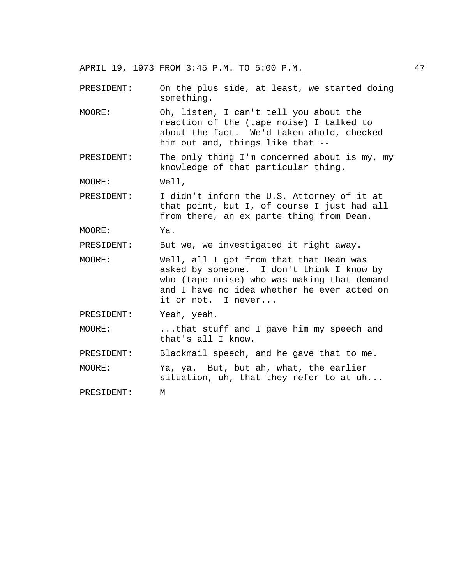PRESIDENT: On the plus side, at least, we started doing something.

- MOORE: Oh, listen, I can't tell you about the reaction of the (tape noise) I talked to about the fact. We'd taken ahold, checked him out and, things like that --
- PRESIDENT: The only thing I'm concerned about is my, my knowledge of that particular thing.

MOORE: Well,

PRESIDENT: I didn't inform the U.S. Attorney of it at that point, but I, of course I just had all from there, an ex parte thing from Dean.

MOORE: Ya.

PRESIDENT: But we, we investigated it right away.

- MOORE: Well, all I got from that that Dean was asked by someone. I don't think I know by who (tape noise) who was making that demand and I have no idea whether he ever acted on it or not. I never...
- PRESIDENT: Yeah, yeah.
- MOORE: ...that stuff and I gave him my speech and that's all I know.
- PRESIDENT: Blackmail speech, and he gave that to me.
- MOORE: Ya, ya. But, but ah, what, the earlier situation, uh, that they refer to at uh...

PRESIDENT: M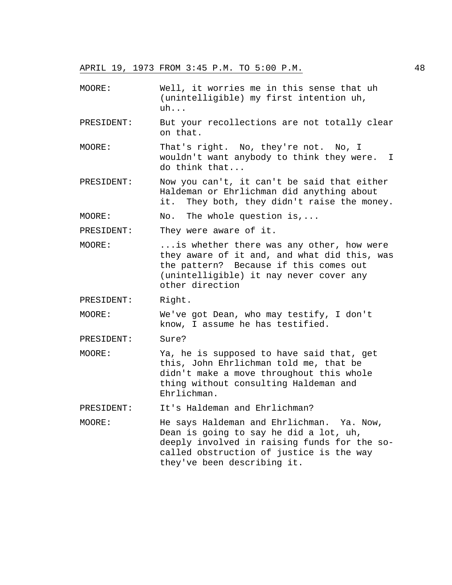- MOORE: Well, it worries me in this sense that uh (unintelligible) my first intention uh, uh...
- PRESIDENT: But your recollections are not totally clear on that.
- MOORE: That's right. No, they're not. No, I wouldn't want anybody to think they were. I do think that...
- PRESIDENT: Now you can't, it can't be said that either Haldeman or Ehrlichman did anything about it. They both, they didn't raise the money.
- MOORE: No. The whole question is,...

PRESIDENT: They were aware of it.

- MOORE: ...is whether there was any other, how were they aware of it and, and what did this, was the pattern? Because if this comes out (unintelligible) it nay never cover any other direction
- PRESIDENT: Right.
- MOORE: We've got Dean, who may testify, I don't know, I assume he has testified.

PRESIDENT: Sure?

MOORE: Ya, he is supposed to have said that, get this, John Ehrlichman told me, that be didn't make a move throughout this whole thing without consulting Haldeman and Ehrlichman.

PRESIDENT: It's Haldeman and Ehrlichman?

MOORE: He says Haldeman and Ehrlichman. Ya. Now, Dean is going to say he did a lot, uh, deeply involved in raising funds for the socalled obstruction of justice is the way they've been describing it.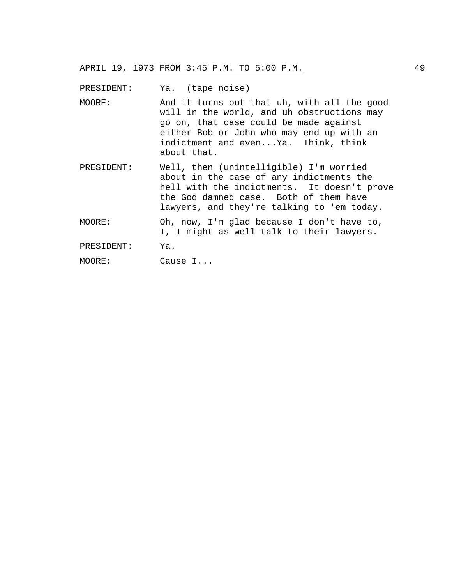PRESIDENT: Ya. (tape noise)

- MOORE: And it turns out that uh, with all the good will in the world, and uh obstructions may go on, that case could be made against either Bob or John who may end up with an indictment and even...Ya. Think, think about that.
- PRESIDENT: Well, then (unintelligible) I'm worried about in the case of any indictments the hell with the indictments. It doesn't prove the God damned case. Both of them have lawyers, and they're talking to 'em today.
- MOORE: Oh, now, I'm glad because I don't have to, I, I might as well talk to their lawyers.
- PRESIDENT: Ya.

MOORE: Cause I...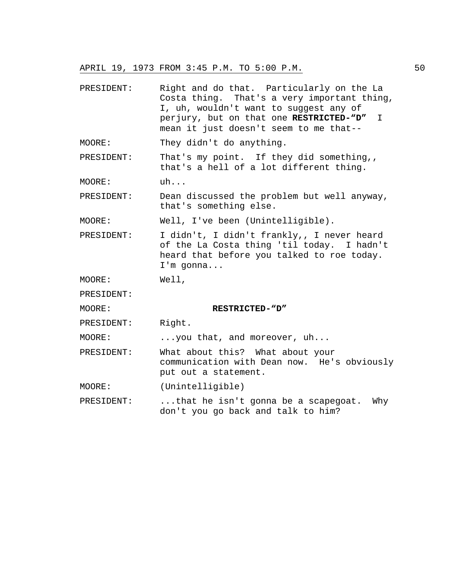- PRESIDENT: Right and do that. Particularly on the La Costa thing. That's a very important thing, I, uh, wouldn't want to suggest any of perjury, but on that one **RESTRICTED-"D"** I mean it just doesn't seem to me that--
- MOORE: They didn't do anything.
- PRESIDENT: That's my point. If they did something,, that's a hell of a lot different thing.

MOORE: uh...

PRESIDENT: Dean discussed the problem but well anyway, that's something else.

MOORE: Well, I've been (Unintelligible).

PRESIDENT: I didn't, I didn't frankly,, I never heard of the La Costa thing 'til today. I hadn't heard that before you talked to roe today. I'm gonna...

MOORE: Well,

PRESIDENT:

MOORE: **RESTRICTED-"D"**

PRESIDENT: Right.

MOORE: ...you that, and moreover, uh...

- PRESIDENT: What about this? What about your communication with Dean now. He's obviously put out a statement.
- MOORE: (Unintelligible)
- PRESIDENT: ...that he isn't gonna be a scapegoat. Why don't you go back and talk to him?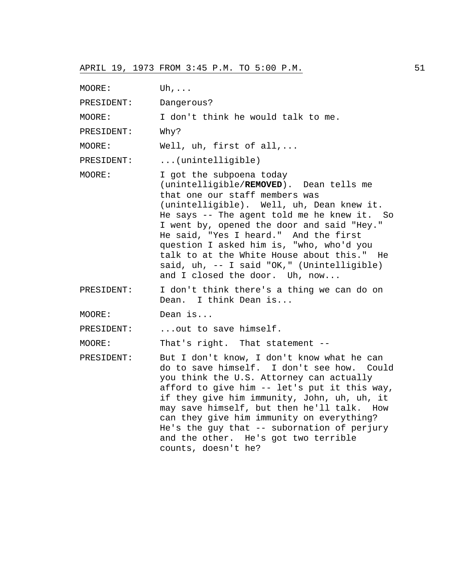| MOORE:     | Uh, $\ldots$                                                                                                                                                                                                                                                                                                                                                                                                                                                       |
|------------|--------------------------------------------------------------------------------------------------------------------------------------------------------------------------------------------------------------------------------------------------------------------------------------------------------------------------------------------------------------------------------------------------------------------------------------------------------------------|
| PRESIDENT: | Dangerous?                                                                                                                                                                                                                                                                                                                                                                                                                                                         |
| MOORE:     | I don't think he would talk to me.                                                                                                                                                                                                                                                                                                                                                                                                                                 |
| PRESIDENT: | Why?                                                                                                                                                                                                                                                                                                                                                                                                                                                               |
| MOORE:     | Well, $uh$ , first of all,                                                                                                                                                                                                                                                                                                                                                                                                                                         |
| PRESIDENT: | (unintelligible)                                                                                                                                                                                                                                                                                                                                                                                                                                                   |
| MOORE:     | I got the subpoena today<br>(unintelligible/REMOVED). Dean tells me<br>that one our staff members was<br>(unintelligible). Well, uh, Dean knew it.<br>He says -- The agent told me he knew it. So<br>I went by, opened the door and said "Hey."<br>He said, "Yes I heard." And the first<br>question I asked him is, "who, who'd you<br>talk to at the White House about this." He<br>said, uh, -- I said "OK," (Unintelligible)<br>and I closed the door. Uh, now |
| PRESIDENT: | I don't think there's a thing we can do on<br>Dean. I think Dean is                                                                                                                                                                                                                                                                                                                                                                                                |
| MOORE:     | Dean is                                                                                                                                                                                                                                                                                                                                                                                                                                                            |
| PRESIDENT: | out to save himself.                                                                                                                                                                                                                                                                                                                                                                                                                                               |
| MOORE:     | That's right. That statement --                                                                                                                                                                                                                                                                                                                                                                                                                                    |
| PRESIDENT: | But I don't know, I don't know what he can<br>do to save himself. I don't see how. Could<br>you think the U.S. Attorney can actually<br>afford to give him -- let's put it this way,<br>if they give him immunity, John, uh, uh, it<br>may save himself, but then he'll talk. How<br>can they give him immunity on everything?<br>He's the guy that -- subornation of perjury<br>and the other. He's got two terrible<br>counts, doesn't he?                       |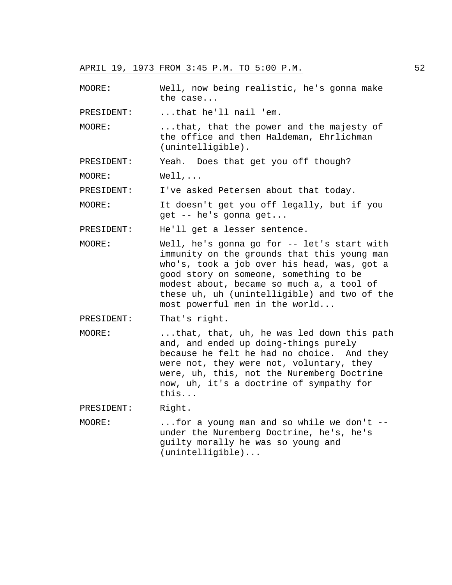MOORE: Well, now being realistic, he's gonna make the case...

PRESIDENT: ...that he'll nail 'em.

MOORE: ...that, that the power and the majesty of the office and then Haldeman, Ehrlichman (unintelligible).

PRESIDENT: Yeah. Does that get you off though?

MOORE: Well,...

PRESIDENT: I've asked Petersen about that today.

MOORE: It doesn't get you off legally, but if you get -- he's gonna get...

PRESIDENT: He'll get a lesser sentence.

- MOORE: Well, he's gonna go for -- let's start with immunity on the grounds that this young man who's, took a job over his head, was, got a good story on someone, something to be modest about, became so much a, a tool of these uh, uh (unintelligible) and two of the most powerful men in the world...
- PRESIDENT: That's right.
- MOORE: ...that, that, uh, he was led down this path and, and ended up doing-things purely because he felt he had no choice. And they were not, they were not, voluntary, they were, uh, this, not the Nuremberg Doctrine now, uh, it's a doctrine of sympathy for this...

PRESIDENT: Right.

MOORE: ...for a young man and so while we don't - under the Nuremberg Doctrine, he's, he's guilty morally he was so young and (unintelligible)...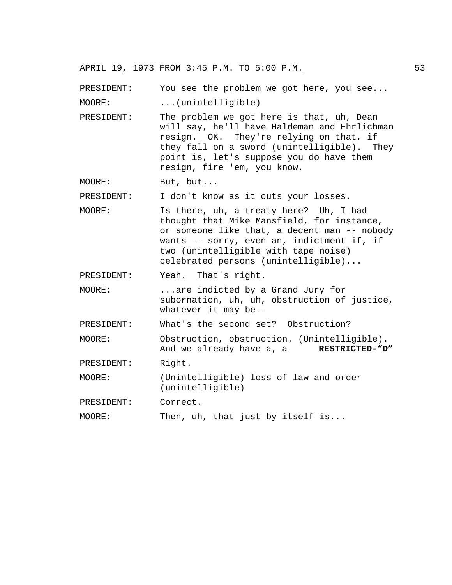PRESIDENT: You see the problem we got here, you see...

MOORE: ...(unintelligible)

PRESIDENT: The problem we got here is that, uh, Dean will say, he'll have Haldeman and Ehrlichman resign. OK. They're relying on that, if they fall on a sword (unintelligible). They point is, let's suppose you do have them resign, fire 'em, you know.

MOORE: But, but...

PRESIDENT: I don't know as it cuts your losses.

MOORE: Is there, uh, a treaty here? Uh, I had thought that Mike Mansfield, for instance, or someone like that, a decent man -- nobody wants -- sorry, even an, indictment if, if two (unintelligible with tape noise) celebrated persons (unintelligible)...

PRESIDENT: Yeah. That's right.

MOORE: ...are indicted by a Grand Jury for subornation, uh, uh, obstruction of justice, whatever it may be--

PRESIDENT: What's the second set? Obstruction?

MOORE: Obstruction, obstruction. (Unintelligible). And we already have a, a **RESTRICTED-"D"**

PRESIDENT: Right.

MOORE: (Unintelligible) loss of law and order (unintelligible)

PRESIDENT: Correct.

MOORE: Then, uh, that just by itself is...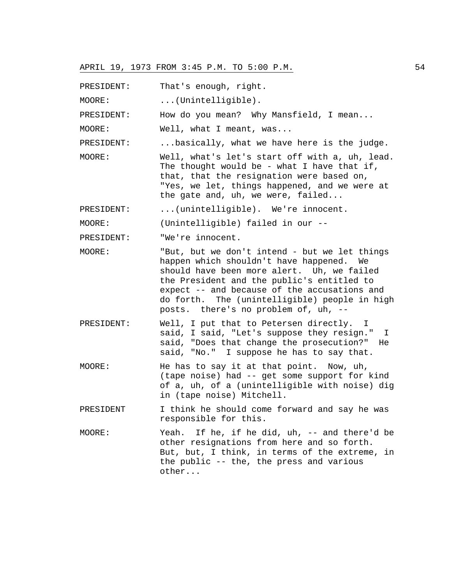PRESIDENT: That's enough, right.

MOORE: ...(Unintelligible).

PRESIDENT: How do you mean? Why Mansfield, I mean...

MOORE: Well, what I meant, was...

PRESIDENT: ...basically, what we have here is the judge.

MOORE: Well, what's let's start off with a, uh, lead. The thought would be - what I have that if, that, that the resignation were based on, "Yes, we let, things happened, and we were at the gate and, uh, we were, failed...

PRESIDENT: ...(unintelligible). We're innocent.

MOORE: (Unintelligible) failed in our --

PRESIDENT: "We're innocent.

- MOORE: "But, but we don't intend but we let things happen which shouldn't have happened. We should have been more alert. Uh, we failed the President and the public's entitled to expect -- and because of the accusations and do forth. The (unintelligible) people in high posts. there's no problem of, uh, --
- PRESIDENT: Well, I put that to Petersen directly. I said, I said, "Let's suppose they resign." I said, "Does that change the prosecution?" He said, "No." I suppose he has to say that.
- MOORE: He has to say it at that point. Now, uh, (tape noise) had -- get some support for kind of a, uh, of a (unintelligible with noise) dig in (tape noise) Mitchell.

PRESIDENT I think he should come forward and say he was responsible for this.

MOORE: Yeah. If he, if he did, uh, -- and there'd be other resignations from here and so forth. But, but, I think, in terms of the extreme, in the public -- the, the press and various other...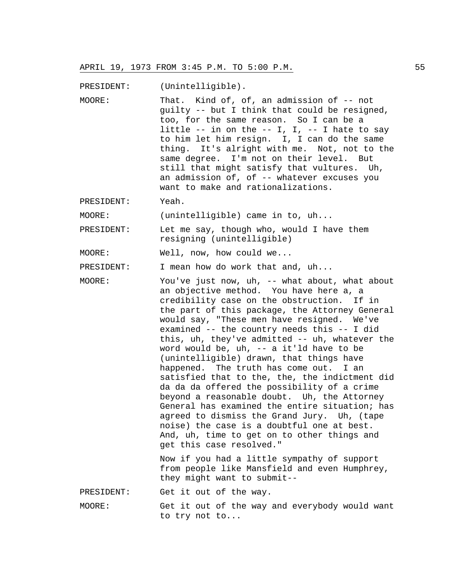PRESIDENT: (Unintelligible).

- MOORE: That. Kind of, of, an admission of -- not guilty -- but I think that could be resigned, too, for the same reason. So I can be a little  $--$  in on the  $--$  I, I,  $--$  I hate to say to him let him resign. I, I can do the same thing. It's alright with me. Not, not to the same degree. I'm not on their level. But still that might satisfy that vultures. Uh, an admission of, of -- whatever excuses you want to make and rationalizations.
- PRESIDENT: Yeah.

MOORE: (unintelligible) came in to, uh...

PRESIDENT: Let me say, though who, would I have them resigning (unintelligible)

MOORE: Well, now, how could we...

PRESIDENT: I mean how do work that and, uh...

MOORE: You've just now, uh, -- what about, what about an objective method. You have here a, a credibility case on the obstruction. If in the part of this package, the Attorney General would say, "These men have resigned. We've examined -- the country needs this -- I did this, uh, they've admitted -- uh, whatever the word would be, uh, -- a it'ld have to be (unintelligible) drawn, that things have happened. The truth has come out. I an satisfied that to the, the, the indictment did da da da offered the possibility of a crime beyond a reasonable doubt. Uh, the Attorney General has examined the entire situation; has agreed to dismiss the Grand Jury. Uh, (tape noise) the case is a doubtful one at best. And, uh, time to get on to other things and get this case resolved." Now if you had a little sympathy of support from people like Mansfield and even Humphrey, they might want to submit--

PRESIDENT: Get it out of the way.

MOORE: Get it out of the way and everybody would want to try not to...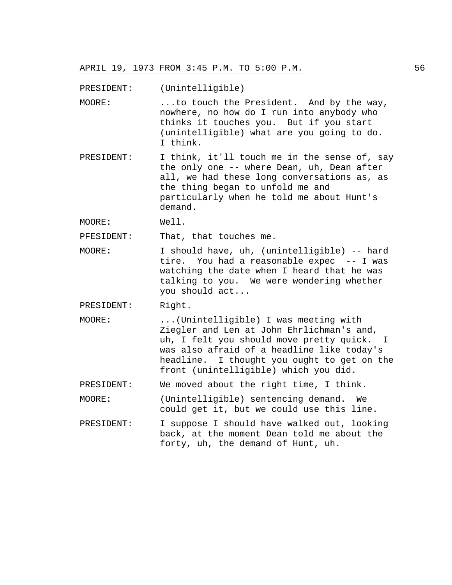PRESIDENT: (Unintelligible)

- MOORE: ...to touch the President. And by the way, nowhere, no how do I run into anybody who thinks it touches you. But if you start (unintelligible) what are you going to do. I think.
- PRESIDENT: I think, it'll touch me in the sense of, say the only one -- where Dean, uh, Dean after all, we had these long conversations as, as the thing began to unfold me and particularly when he told me about Hunt's demand.

MOORE: Well.

PFESIDENT: That, that touches me.

- MOORE: I should have, uh, (unintelligible) -- hard tire. You had a reasonable expec -- I was watching the date when I heard that he was talking to you. We were wondering whether you should act...
- PRESIDENT: Right.
- MOORE: ...(Unintelligible) I was meeting with Ziegler and Len at John Ehrlichman's and, uh, I felt you should move pretty quick. I was also afraid of a headline like today's headline. I thought you ought to get on the front (unintelligible) which you did.
- PRESIDENT: We moved about the right time, I think.
- MOORE: (Unintelligible) sentencing demand. We could get it, but we could use this line.
- PRESIDENT: I suppose I should have walked out, looking back, at the moment Dean told me about the forty, uh, the demand of Hunt, uh.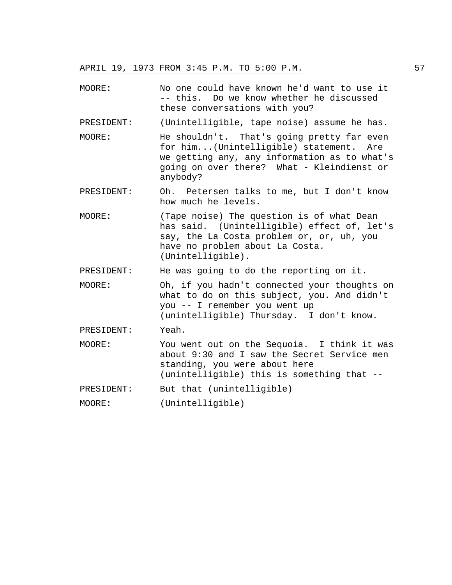MOORE: No one could have known he'd want to use it -- this. Do we know whether he discussed these conversations with you? PRESIDENT: (Unintelligible, tape noise) assume he has. MOORE: He shouldn't. That's going pretty far even for him...(Unintelligible) statement. Are we getting any, any information as to what's going on over there? What - Kleindienst or anybody? PRESIDENT: Oh. Petersen talks to me, but I don't know how much he levels. MOORE: (Tape noise) The question is of what Dean has said. (Unintelligible) effect of, let's say, the La Costa problem or, or, uh, you have no problem about La Costa. (Unintelligible). PRESIDENT: He was going to do the reporting on it. MOORE: Oh, if you hadn't connected your thoughts on what to do on this subject, you. And didn't you -- I remember you went up (unintelligible) Thursday. I don't know. PRESIDENT: Yeah. MOORE: You went out on the Sequoia. I think it was about 9:30 and I saw the Secret Service men standing, you were about here (unintelligible) this is something that -- PRESIDENT: But that (unintelligible) MOORE: (Unintelligible)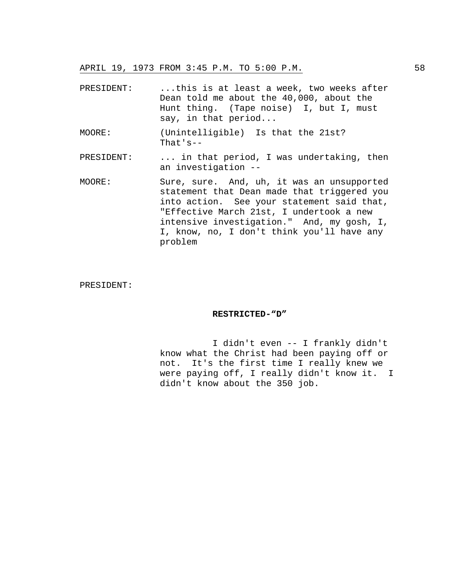| PRESIDENT: | this is at least a week, two weeks after<br>Dean told me about the 40,000, about the<br>Hunt thing. (Tape noise) I, but I, must<br>say, in that $period$                                                                                                                                   |
|------------|--------------------------------------------------------------------------------------------------------------------------------------------------------------------------------------------------------------------------------------------------------------------------------------------|
| MOORE:     | (Unintelligible) Is that the 21st?<br>That's--                                                                                                                                                                                                                                             |
| PRESIDENT: | in that period, I was undertaking, then<br>an investigation --                                                                                                                                                                                                                             |
| MOORE:     | Sure, sure. And, uh, it was an unsupported<br>statement that Dean made that triggered you<br>into action. See your statement said that,<br>"Effective March 21st, I undertook a new<br>intensive investigation." And, my gosh, I,<br>I, know, no, I don't think you'll have any<br>problem |

# PRESIDENT:

#### **RESTRICTED-"D"**

 I didn't even -- I frankly didn't know what the Christ had been paying off or not. It's the first time I really knew we were paying off, I really didn't know it. I didn't know about the 350 job.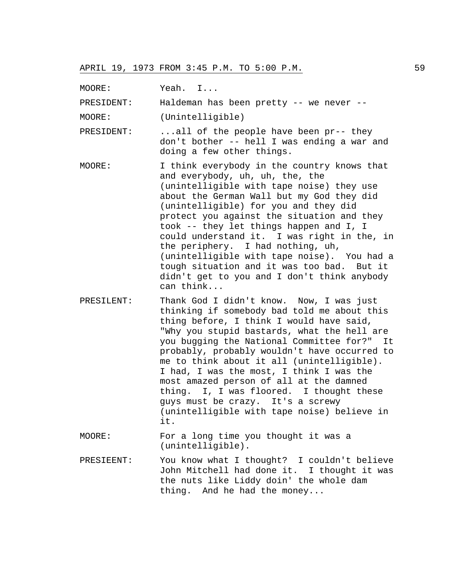MOORE: Yeah. I...

PRESIDENT: Haldeman has been pretty -- we never --

MOORE: (Unintelligible)

PRESIDENT: ...all of the people have been pr-- they don't bother -- hell I was ending a war and doing a few other things.

- MOORE: I think everybody in the country knows that and everybody, uh, uh, the, the (unintelligible with tape noise) they use about the German Wall but my God they did (unintelligible) for you and they did protect you against the situation and they took -- they let things happen and I, I could understand it. I was right in the, in the periphery. I had nothing, uh, (unintelligible with tape noise). You had a tough situation and it was too bad. But it didn't get to you and I don't think anybody can think...
- PRESILENT: Thank God I didn't know. Now, I was just thinking if somebody bad told me about this thing before, I think I would have said, "Why you stupid bastards, what the hell are you bugging the National Committee for?" It probably, probably wouldn't have occurred to me to think about it all (unintelligible). I had, I was the most, I think I was the most amazed person of all at the damned thing. I, I was floored. I thought these guys must be crazy. It's a screwy (unintelligible with tape noise) believe in it.
- MOORE: For a long time you thought it was a (unintelligible).
- PRESIEENT: You know what I thought? I couldn't believe John Mitchell had done it. I thought it was the nuts like Liddy doin' the whole dam thing. And he had the money...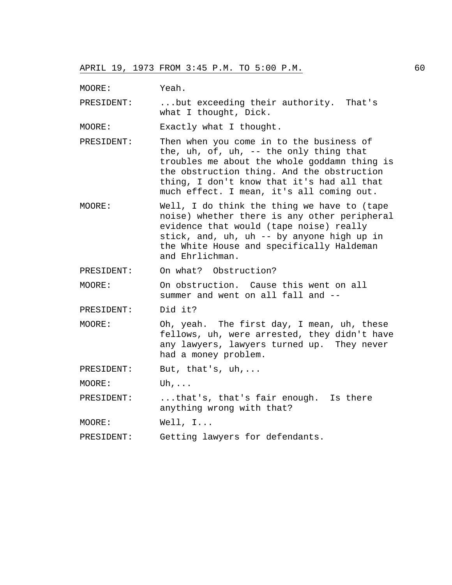MOORE: Yeah.

PRESIDENT: ...but exceeding their authority. That's what I thought, Dick.

MOORE: Exactly what I thought.

- PRESIDENT: Then when you come in to the business of the, uh, of, uh, -- the only thing that troubles me about the whole goddamn thing is the obstruction thing. And the obstruction thing, I don't know that it's had all that much effect. I mean, it's all coming out.
- MOORE: Well, I do think the thing we have to (tape noise) whether there is any other peripheral evidence that would (tape noise) really stick, and, uh, uh -- by anyone high up in the White House and specifically Haldeman and Ehrlichman.

PRESIDENT: On what? Obstruction?

MOORE: On obstruction. Cause this went on all summer and went on all fall and --

PRESIDENT: Did it?

MOORE: Oh, yeah. The first day, I mean, uh, these fellows, uh, were arrested, they didn't have any lawyers, lawyers turned up. They never had a money problem.

PRESIDENT: But, that's, uh,...

MOORE: Uh,...

PRESIDENT: ...that's, that's fair enough. Is there anything wrong with that?

MOORE: Well, I...

PRESIDENT: Getting lawyers for defendants.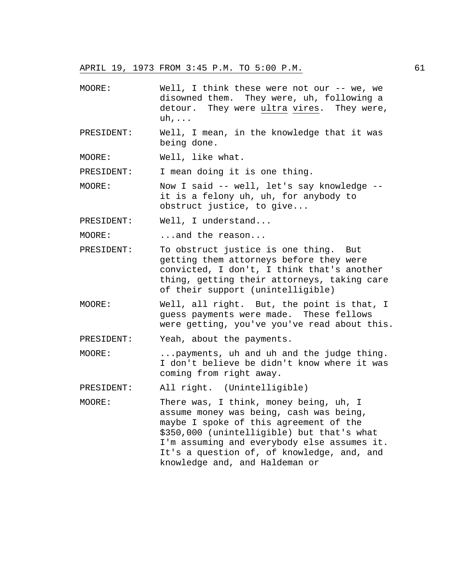- MOORE: Well, I think these were not our -- we, we disowned them. They were, uh, following a detour. They were ultra vires. They were, uh,...
- PRESIDENT: Well, I mean, in the knowledge that it was being done.

MOORE: Well, like what.

PRESIDENT: I mean doing it is one thing.

MOORE: Now I said -- well, let's say knowledge - it is a felony uh, uh, for anybody to obstruct justice, to give...

PRESIDENT: Well, I understand...

MOORE: ...and the reason...

- PRESIDENT: To obstruct justice is one thing. But getting them attorneys before they were convicted, I don't, I think that's another thing, getting their attorneys, taking care of their support (unintelligible)
- MOORE: Well, all right. But, the point is that, I guess payments were made. These fellows were getting, you've you've read about this.

PRESIDENT: Yeah, about the payments.

MOORE: ...payments, uh and uh and the judge thing. I don't believe be didn't know where it was coming from right away.

PRESIDENT: All right. (Unintelligible)

MOORE: There was, I think, money being, uh, I assume money was being, cash was being, maybe I spoke of this agreement of the \$350,000 (unintelligible) but that's what I'm assuming and everybody else assumes it. It's a question of, of knowledge, and, and knowledge and, and Haldeman or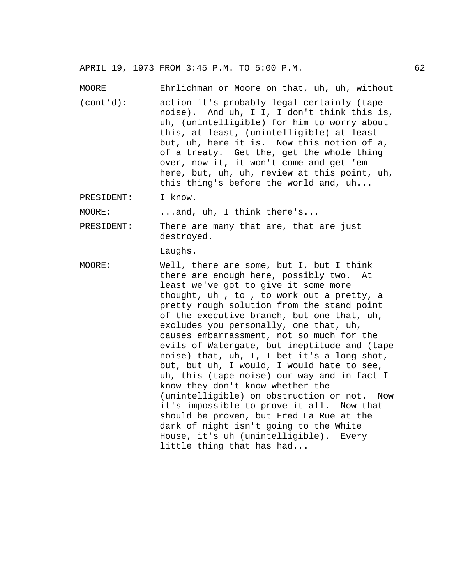MOORE Ehrlichman or Moore on that, uh, uh, without (cont'd): action it's probably legal certainly (tape noise). And uh, I I, I don't think this is, uh, (unintelligible) for him to worry about this, at least, (unintelligible) at least but, uh, here it is. Now this notion of a, of a treaty. Get the, get the whole thing over, now it, it won't come and get 'em here, but, uh, uh, review at this point, uh, this thing's before the world and, uh...

PRESIDENT: I know.

MOORE: ...and, uh, I think there's...

PRESIDENT: There are many that are, that are just destroyed.

Laughs.

MOORE: Well, there are some, but I, but I think there are enough here, possibly two. At least we've got to give it some more thought, uh , to , to work out a pretty, a pretty rough solution from the stand point of the executive branch, but one that, uh, excludes you personally, one that, uh, causes embarrassment, not so much for the evils of Watergate, but ineptitude and (tape noise) that, uh, I, I bet it's a long shot, but, but uh, I would, I would hate to see, uh, this (tape noise) our way and in fact I know they don't know whether the (unintelligible) on obstruction or not. Now it's impossible to prove it all. Now that should be proven, but Fred La Rue at the dark of night isn't going to the White House, it's uh (unintelligible). Every little thing that has had...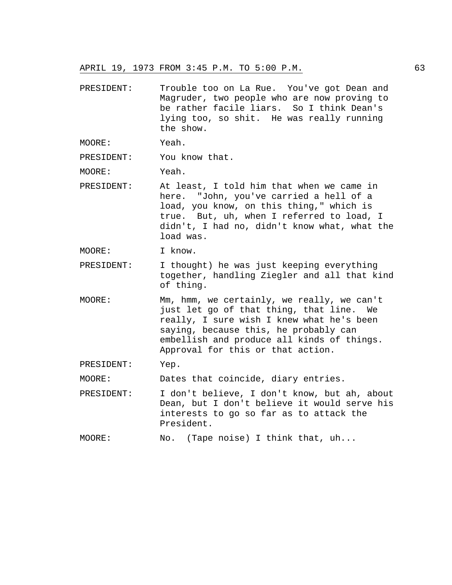- PRESIDENT: Trouble too on La Rue. You've got Dean and Magruder, two people who are now proving to be rather facile liars. So I think Dean's lying too, so shit. He was really running the show.
- MOORE: Yeah.

PRESIDENT: You know that.

MOORE: Yeah.

- PRESIDENT: At least, I told him that when we came in here. "John, you've carried a hell of a load, you know, on this thing," which is true. But, uh, when I referred to load, I didn't, I had no, didn't know what, what the load was.
- MOORE: I know.
- PRESIDENT: I thought) he was just keeping everything together, handling Ziegler and all that kind of thing.
- MOORE: Mm, hmm, we certainly, we really, we can't just let go of that thing, that line. We really, I sure wish I knew what he's been saying, because this, he probably can embellish and produce all kinds of things. Approval for this or that action.
- PRESIDENT: Yep.

MOORE: Dates that coincide, diary entries.

- PRESIDENT: I don't believe, I don't know, but ah, about Dean, but I don't believe it would serve his interests to go so far as to attack the President.
- MOORE: No. (Tape noise) I think that, uh...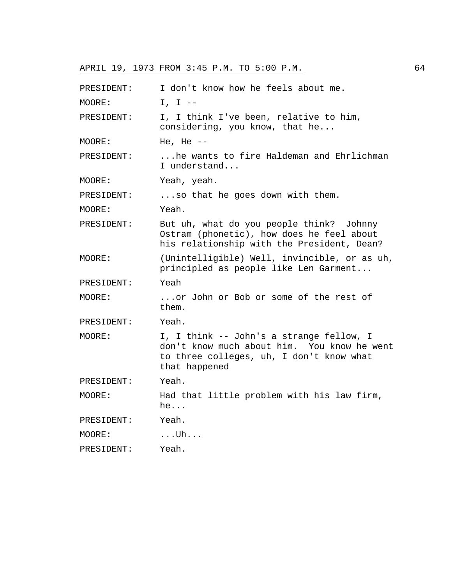| PRESIDENT: | I don't know how he feels about me.                                                                                                                  |
|------------|------------------------------------------------------------------------------------------------------------------------------------------------------|
| MOORE:     | $I, I --$                                                                                                                                            |
| PRESIDENT: | I, I think I've been, relative to him,<br>considering, you know, that he                                                                             |
| MOORE:     | He, He $--$                                                                                                                                          |
| PRESIDENT: | he wants to fire Haldeman and Ehrlichman<br>I understand                                                                                             |
| MOORE:     | Yeah, yeah.                                                                                                                                          |
| PRESIDENT: | so that he goes down with them.                                                                                                                      |
| MOORE:     | Yeah.                                                                                                                                                |
| PRESIDENT: | But uh, what do you people think? Johnny<br>Ostram (phonetic), how does he feel about<br>his relationship with the President, Dean?                  |
| MOORE:     | (Unintelligible) Well, invincible, or as uh,<br>principled as people like Len Garment                                                                |
| PRESIDENT: | Yeah                                                                                                                                                 |
| MOORE:     | or John or Bob or some of the rest of<br>them.                                                                                                       |
| PRESIDENT: | Yeah.                                                                                                                                                |
| MOORE:     | I, I think -- John's a strange fellow, I<br>don't know much about him. You know he went<br>to three colleges, uh, I don't know what<br>that happened |
| PRESIDENT: | Yeah.                                                                                                                                                |
| MOORE:     | Had that little problem with his law firm,<br>he                                                                                                     |
| PRESIDENT: | Yeah.                                                                                                                                                |
| MOORE:     | $\dots$ Uh $\dots$                                                                                                                                   |
| PRESIDENT: | Yeah.                                                                                                                                                |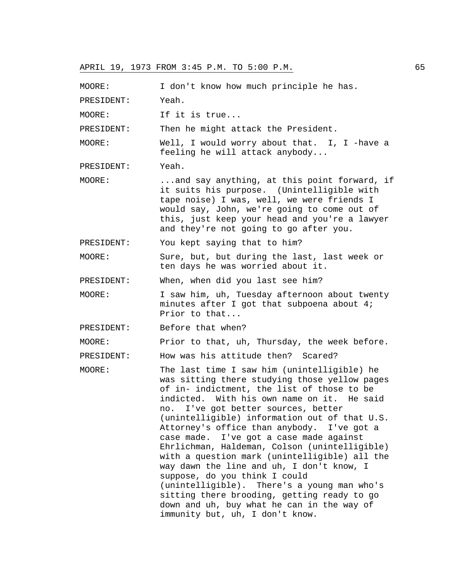MOORE: I don't know how much principle he has. PRESIDENT: Yeah. MOORE: If it is true... PRESIDENT: Then he might attack the President. MOORE: Well, I would worry about that. I, I -have a feeling he will attack anybody... PRESIDENT: Yeah. MOORE: ...and say anything, at this point forward, if it suits his purpose. (Unintelligible with tape noise) I was, well, we were friends I would say, John, we're going to come out of this, just keep your head and you're a lawyer and they're not going to go after you. PRESIDENT: You kept saying that to him? MOORE: Sure, but, but during the last, last week or ten days he was worried about it. PRESIDENT: When, when did you last see him? MOORE: I saw him, uh, Tuesday afternoon about twenty minutes after I got that subpoena about 4; Prior to that... PRESIDENT: Before that when? MOORE: Prior to that, uh, Thursday, the week before. PRESIDENT: How was his attitude then? Scared? MOORE: The last time I saw him (unintelligible) he was sitting there studying those yellow pages of in- indictment, the list of those to be indicted. With his own name on it. He said no. I've got better sources, better (unintelligible) information out of that U.S. Attorney's office than anybody. I've got a case made. I've got a case made against Ehrlichman, Haldeman, Colson (unintelligible) with a question mark (unintelligible) all the way dawn the line and uh, I don't know, I suppose, do you think I could (unintelligible). There's a young man who's sitting there brooding, getting ready to go down and uh, buy what he can in the way of immunity but, uh, I don't know.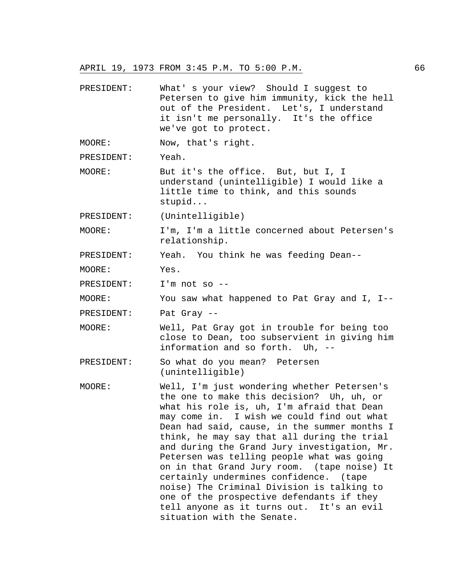PRESIDENT: What' s your view? Should I suggest to Petersen to give him immunity, kick the hell out of the President. Let's, I understand it isn't me personally. It's the office we've got to protect.

MOORE: Now, that's right.

PRESIDENT: Yeah.

MOORE: But it's the office. But, but I, I understand (unintelligible) I would like a little time to think, and this sounds stupid...

PRESIDENT: (Unintelligible)

MOORE: I'm, I'm a little concerned about Petersen's relationship.

PRESIDENT: Yeah. You think he was feeding Dean--

MOORE: Yes.

PRESIDENT: I'm not so --

MOORE: You saw what happened to Pat Gray and I, I--

PRESIDENT: Pat Gray --

- MOORE: Well, Pat Gray got in trouble for being too close to Dean, too subservient in giving him information and so forth. Uh, --
- PRESIDENT: So what do you mean? Petersen (unintelligible)
- MOORE: Well, I'm just wondering whether Petersen's the one to make this decision? Uh, uh, or what his role is, uh, I'm afraid that Dean may come in. I wish we could find out what Dean had said, cause, in the summer months I think, he may say that all during the trial and during the Grand Jury investigation, Mr. Petersen was telling people what was going on in that Grand Jury room. (tape noise) It certainly undermines confidence. (tape noise) The Criminal Division is talking to one of the prospective defendants if they tell anyone as it turns out. It's an evil situation with the Senate.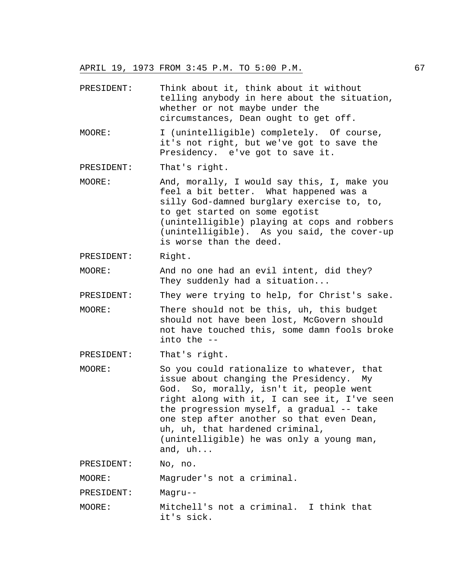- PRESIDENT: Think about it, think about it without telling anybody in here about the situation, whether or not maybe under the circumstances, Dean ought to get off.
- MOORE: I (unintelligible) completely. Of course, it's not right, but we've got to save the Presidency. e've got to save it.
- PRESIDENT: That's right.
- MOORE: And, morally, I would say this, I, make you feel a bit better. What happened was a silly God-damned burglary exercise to, to, to get started on some egotist (unintelligible) playing at cops and robbers (unintelligible). As you said, the cover-up is worse than the deed.
- PRESIDENT: Right.
- MOORE: And no one had an evil intent, did they? They suddenly had a situation...
- PRESIDENT: They were trying to help, for Christ's sake.
- MOORE: There should not be this, uh, this budget should not have been lost, McGovern should not have touched this, some damn fools broke into the --
- PRESIDENT: That's right.
- MOORE: So you could rationalize to whatever, that issue about changing the Presidency. My God. So, morally, isn't it, people went right along with it, I can see it, I've seen the progression myself, a gradual -- take one step after another so that even Dean, uh, uh, that hardened criminal, (unintelligible) he was only a young man, and, uh...

PRESIDENT: No, no.

MOORE: Magruder's not a criminal.

PRESIDENT: Magru--

MOORE: Mitchell's not a criminal. I think that it's sick.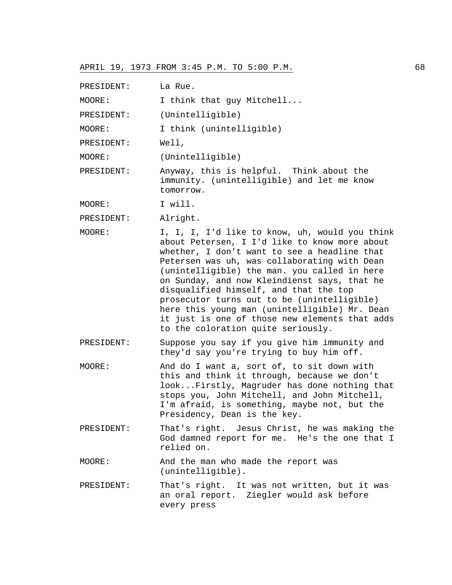| PRESIDENT: | La Rue.                                                                                                                                                                                                                                                                                                                                                                                                                                                                                                                           |
|------------|-----------------------------------------------------------------------------------------------------------------------------------------------------------------------------------------------------------------------------------------------------------------------------------------------------------------------------------------------------------------------------------------------------------------------------------------------------------------------------------------------------------------------------------|
| MOORE:     | I think that guy Mitchell                                                                                                                                                                                                                                                                                                                                                                                                                                                                                                         |
| PRESIDENT: | (Unintelligible)                                                                                                                                                                                                                                                                                                                                                                                                                                                                                                                  |
| MOORE:     | I think (unintelligible)                                                                                                                                                                                                                                                                                                                                                                                                                                                                                                          |
| PRESIDENT: | Well,                                                                                                                                                                                                                                                                                                                                                                                                                                                                                                                             |
| MOORE:     | (Unintelligible)                                                                                                                                                                                                                                                                                                                                                                                                                                                                                                                  |
| PRESIDENT: | Anyway, this is helpful. Think about the<br>immunity. (unintelligible) and let me know<br>tomorrow.                                                                                                                                                                                                                                                                                                                                                                                                                               |
| MOORE:     | I will.                                                                                                                                                                                                                                                                                                                                                                                                                                                                                                                           |
| PRESIDENT: | Alright.                                                                                                                                                                                                                                                                                                                                                                                                                                                                                                                          |
| MOORE:     | I, I, I, I'd like to know, uh, would you think<br>about Petersen, I I'd like to know more about<br>whether, I don't want to see a headline that<br>Petersen was uh, was collaborating with Dean<br>(unintelligible) the man. you called in here<br>on Sunday, and now Kleindienst says, that he<br>disqualified himself, and that the top<br>prosecutor turns out to be (unintelligible)<br>here this young man (unintelligible) Mr. Dean<br>it just is one of those new elements that adds<br>to the coloration quite seriously. |
| PRESIDENT: | Suppose you say if you give him immunity and<br>they'd say you're trying to buy him off.                                                                                                                                                                                                                                                                                                                                                                                                                                          |
| MOORE:     | And do I want a, sort of, to sit down with<br>this and think it through, because we don't<br>lookFirstly, Magruder has done nothing that<br>stops you, John Mitchell, and John Mitchell,<br>I'm afraid, is something, maybe not, but the<br>Presidency, Dean is the key.                                                                                                                                                                                                                                                          |
| PRESIDENT: | That's right. Jesus Christ, he was making the<br>God damned report for me. He's the one that I<br>relied on.                                                                                                                                                                                                                                                                                                                                                                                                                      |
| MOORE:     | And the man who made the report was<br>(unintelligible).                                                                                                                                                                                                                                                                                                                                                                                                                                                                          |
| PRESIDENT: | That's right. It was not written, but it was<br>an oral report. Ziegler would ask before<br>every press                                                                                                                                                                                                                                                                                                                                                                                                                           |